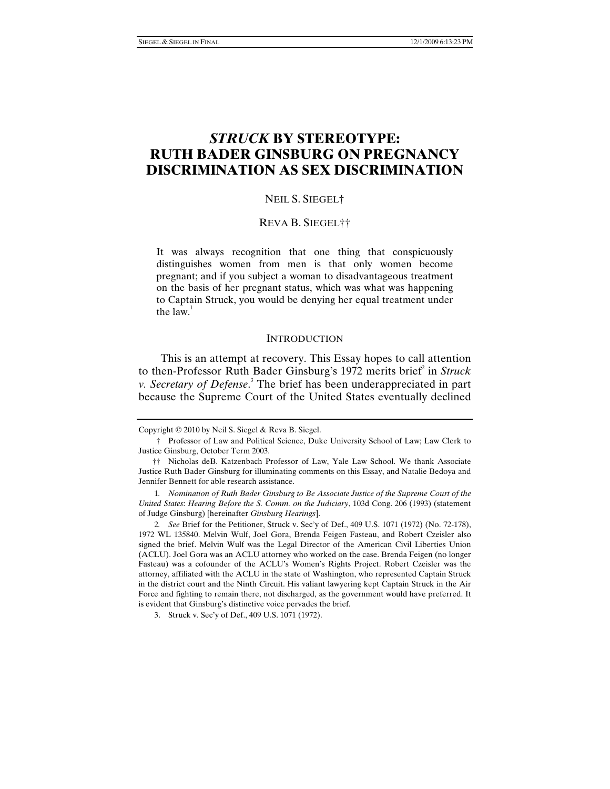# *STRUCK* **BY STEREOTYPE: RUTH BADER GINSBURG ON PREGNANCY DISCRIMINATION AS SEX DISCRIMINATION**

## NEIL S. SIEGEL†

## REVA B. SIEGEL††

It was always recognition that one thing that conspicuously distinguishes women from men is that only women become pregnant; and if you subject a woman to disadvantageous treatment on the basis of her pregnant status, which was what was happening to Captain Struck, you would be denying her equal treatment under the law $<sup>1</sup>$ </sup>

#### **INTRODUCTION**

This is an attempt at recovery. This Essay hopes to call attention to then-Professor Ruth Bader Ginsburg's 1972 merits brief<sup>2</sup> in *Struck v. Secretary of Defense*. 3 The brief has been underappreciated in part because the Supreme Court of the United States eventually declined

Copyright © 2010 by Neil S. Siegel & Reva B. Siegel.

 <sup>†</sup> Professor of Law and Political Science, Duke University School of Law; Law Clerk to Justice Ginsburg, October Term 2003.

 <sup>††</sup> Nicholas deB. Katzenbach Professor of Law, Yale Law School. We thank Associate Justice Ruth Bader Ginsburg for illuminating comments on this Essay, and Natalie Bedoya and Jennifer Bennett for able research assistance.

<sup>1</sup>*. Nomination of Ruth Bader Ginsburg to Be Associate Justice of the Supreme Court of the United States*: *Hearing Before the S. Comm. on the Judiciary*, 103d Cong. 206 (1993) (statement of Judge Ginsburg) [hereinafter *Ginsburg Hearings*].

<sup>2</sup>*. See* Brief for the Petitioner, Struck v. Sec'y of Def., 409 U.S. 1071 (1972) (No. 72-178), 1972 WL 135840. Melvin Wulf, Joel Gora, Brenda Feigen Fasteau, and Robert Czeisler also signed the brief. Melvin Wulf was the Legal Director of the American Civil Liberties Union (ACLU). Joel Gora was an ACLU attorney who worked on the case. Brenda Feigen (no longer Fasteau) was a cofounder of the ACLU's Women's Rights Project. Robert Czeisler was the attorney, affiliated with the ACLU in the state of Washington, who represented Captain Struck in the district court and the Ninth Circuit. His valiant lawyering kept Captain Struck in the Air Force and fighting to remain there, not discharged, as the government would have preferred. It is evident that Ginsburg's distinctive voice pervades the brief.

 <sup>3.</sup> Struck v. Sec'y of Def., 409 U.S. 1071 (1972).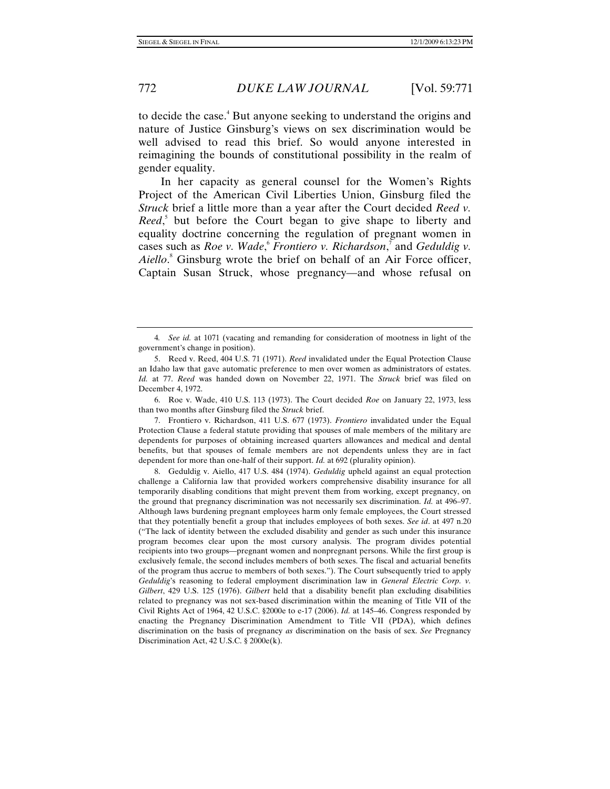to decide the case.<sup>4</sup> But anyone seeking to understand the origins and nature of Justice Ginsburg's views on sex discrimination would be well advised to read this brief. So would anyone interested in reimagining the bounds of constitutional possibility in the realm of gender equality.

In her capacity as general counsel for the Women's Rights Project of the American Civil Liberties Union, Ginsburg filed the *Struck* brief a little more than a year after the Court decided *Reed v.*  Reed,<sup>5</sup> but before the Court began to give shape to liberty and equality doctrine concerning the regulation of pregnant women in cases such as *Roe v. Wade*, <sup>6</sup> *Frontiero v. Richardson*, 7 and *Geduldig v. Aiello*. 8 Ginsburg wrote the brief on behalf of an Air Force officer, Captain Susan Struck, whose pregnancy—and whose refusal on

 6. Roe v. Wade, 410 U.S. 113 (1973). The Court decided *Roe* on January 22, 1973, less than two months after Ginsburg filed the *Struck* brief.

 7. Frontiero v. Richardson, 411 U.S. 677 (1973). *Frontiero* invalidated under the Equal Protection Clause a federal statute providing that spouses of male members of the military are dependents for purposes of obtaining increased quarters allowances and medical and dental benefits, but that spouses of female members are not dependents unless they are in fact dependent for more than one-half of their support. *Id.* at 692 (plurality opinion).

 8. Geduldig v. Aiello, 417 U.S. 484 (1974). *Geduldig* upheld against an equal protection challenge a California law that provided workers comprehensive disability insurance for all temporarily disabling conditions that might prevent them from working, except pregnancy, on the ground that pregnancy discrimination was not necessarily sex discrimination. *Id.* at 496–97. Although laws burdening pregnant employees harm only female employees, the Court stressed that they potentially benefit a group that includes employees of both sexes. *See id*. at 497 n.20 ("The lack of identity between the excluded disability and gender as such under this insurance program becomes clear upon the most cursory analysis. The program divides potential recipients into two groups—pregnant women and nonpregnant persons. While the first group is exclusively female, the second includes members of both sexes. The fiscal and actuarial benefits of the program thus accrue to members of both sexes."). The Court subsequently tried to apply *Geduldig*'s reasoning to federal employment discrimination law in *General Electric Corp. v. Gilbert*, 429 U.S. 125 (1976). *Gilbert* held that a disability benefit plan excluding disabilities related to pregnancy was not sex-based discrimination within the meaning of Title VII of the Civil Rights Act of 1964, 42 U.S.C. §2000e to e-17 (2006). *Id.* at 145–46. Congress responded by enacting the Pregnancy Discrimination Amendment to Title VII (PDA), which defines discrimination on the basis of pregnancy *as* discrimination on the basis of sex. *See* Pregnancy Discrimination Act, 42 U.S.C. § 2000e(k).

<sup>4</sup>*. See id.* at 1071 (vacating and remanding for consideration of mootness in light of the government's change in position).

 <sup>5.</sup> Reed v. Reed, 404 U.S. 71 (1971). *Reed* invalidated under the Equal Protection Clause an Idaho law that gave automatic preference to men over women as administrators of estates. *Id.* at 77. *Reed* was handed down on November 22, 1971. The *Struck* brief was filed on December 4, 1972.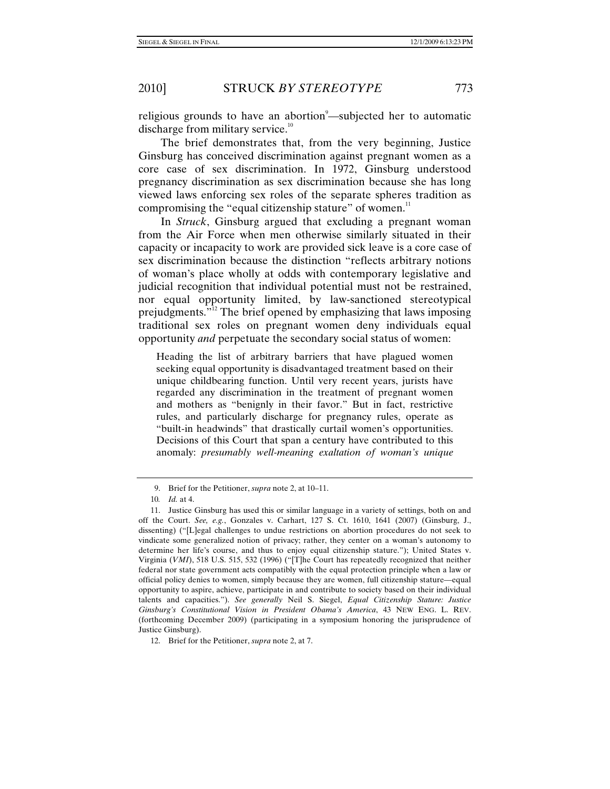religious grounds to have an abortion<sup>9</sup>—subjected her to automatic discharge from military service.<sup>10</sup>

The brief demonstrates that, from the very beginning, Justice Ginsburg has conceived discrimination against pregnant women as a core case of sex discrimination. In 1972, Ginsburg understood pregnancy discrimination as sex discrimination because she has long viewed laws enforcing sex roles of the separate spheres tradition as compromising the "equal citizenship stature" of women.<sup>11</sup>

In *Struck*, Ginsburg argued that excluding a pregnant woman from the Air Force when men otherwise similarly situated in their capacity or incapacity to work are provided sick leave is a core case of sex discrimination because the distinction "reflects arbitrary notions of woman's place wholly at odds with contemporary legislative and judicial recognition that individual potential must not be restrained, nor equal opportunity limited, by law-sanctioned stereotypical prejudgments."12 The brief opened by emphasizing that laws imposing traditional sex roles on pregnant women deny individuals equal opportunity *and* perpetuate the secondary social status of women:

Heading the list of arbitrary barriers that have plagued women seeking equal opportunity is disadvantaged treatment based on their unique childbearing function. Until very recent years, jurists have regarded any discrimination in the treatment of pregnant women and mothers as "benignly in their favor." But in fact, restrictive rules, and particularly discharge for pregnancy rules, operate as "built-in headwinds" that drastically curtail women's opportunities. Decisions of this Court that span a century have contributed to this anomaly: *presumably well-meaning exaltation of woman's unique* 

 <sup>9.</sup> Brief for the Petitioner, *supra* note 2, at 10–11.

<sup>10</sup>*. Id.* at 4.

 <sup>11.</sup> Justice Ginsburg has used this or similar language in a variety of settings, both on and off the Court. *See, e.g.*, Gonzales v. Carhart, 127 S. Ct. 1610, 1641 (2007) (Ginsburg, J., dissenting) ("[L]egal challenges to undue restrictions on abortion procedures do not seek to vindicate some generalized notion of privacy; rather, they center on a woman's autonomy to determine her life's course, and thus to enjoy equal citizenship stature."); United States v. Virginia (*VMI*), 518 U.S. 515, 532 (1996) ("[T]he Court has repeatedly recognized that neither federal nor state government acts compatibly with the equal protection principle when a law or official policy denies to women, simply because they are women, full citizenship stature—equal opportunity to aspire, achieve, participate in and contribute to society based on their individual talents and capacities."). *See generally* Neil S. Siegel, *Equal Citizenship Stature: Justice Ginsburg's Constitutional Vision in President Obama's America*, 43 NEW ENG. L. REV. (forthcoming December 2009) (participating in a symposium honoring the jurisprudence of Justice Ginsburg).

 <sup>12.</sup> Brief for the Petitioner, *supra* note 2, at 7.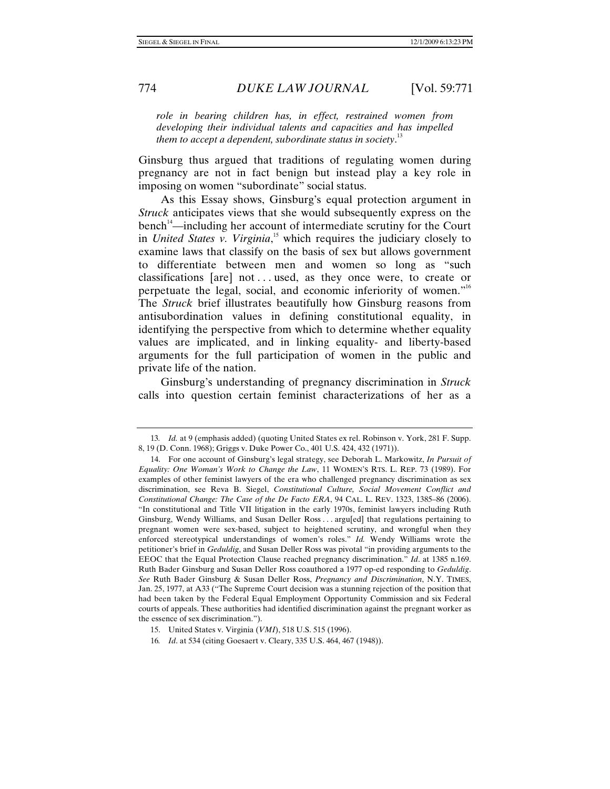*role in bearing children has, in effect, restrained women from developing their individual talents and capacities and has impelled them to accept a dependent, subordinate status in society*. 13

Ginsburg thus argued that traditions of regulating women during pregnancy are not in fact benign but instead play a key role in imposing on women "subordinate" social status.

As this Essay shows, Ginsburg's equal protection argument in *Struck* anticipates views that she would subsequently express on the  $bench<sup>14</sup>$ —including her account of intermediate scrutiny for the Court in *United States v. Virginia*, 15 which requires the judiciary closely to examine laws that classify on the basis of sex but allows government to differentiate between men and women so long as "such classifications [are] not . . . used, as they once were, to create or perpetuate the legal, social, and economic inferiority of women."16 The *Struck* brief illustrates beautifully how Ginsburg reasons from antisubordination values in defining constitutional equality, in identifying the perspective from which to determine whether equality values are implicated, and in linking equality- and liberty-based arguments for the full participation of women in the public and private life of the nation.

Ginsburg's understanding of pregnancy discrimination in *Struck* calls into question certain feminist characterizations of her as a

<sup>13</sup>*. Id.* at 9 (emphasis added) (quoting United States ex rel. Robinson v. York, 281 F. Supp. 8, 19 (D. Conn. 1968); Griggs v. Duke Power Co., 401 U.S. 424, 432 (1971)).

 <sup>14.</sup> For one account of Ginsburg's legal strategy, see Deborah L. Markowitz, *In Pursuit of Equality: One Woman's Work to Change the Law*, 11 WOMEN'S RTS. L. REP. 73 (1989). For examples of other feminist lawyers of the era who challenged pregnancy discrimination as sex discrimination, see Reva B. Siegel, *Constitutional Culture, Social Movement Conflict and Constitutional Change: The Case of the De Facto ERA*, 94 CAL. L. REV. 1323, 1385–86 (2006). "In constitutional and Title VII litigation in the early 1970s, feminist lawyers including Ruth Ginsburg, Wendy Williams, and Susan Deller Ross . . . argu[ed] that regulations pertaining to pregnant women were sex-based, subject to heightened scrutiny, and wrongful when they enforced stereotypical understandings of women's roles." *Id.* Wendy Williams wrote the petitioner's brief in *Geduldig*, and Susan Deller Ross was pivotal "in providing arguments to the EEOC that the Equal Protection Clause reached pregnancy discrimination." *Id*. at 1385 n.169. Ruth Bader Ginsburg and Susan Deller Ross coauthored a 1977 op-ed responding to *Geduldig*. *See* Ruth Bader Ginsburg & Susan Deller Ross, *Pregnancy and Discrimination*, N.Y. TIMES, Jan. 25, 1977, at A33 ("The Supreme Court decision was a stunning rejection of the position that had been taken by the Federal Equal Employment Opportunity Commission and six Federal courts of appeals. These authorities had identified discrimination against the pregnant worker as the essence of sex discrimination.").

 <sup>15.</sup> United States v. Virginia (*VMI*), 518 U.S. 515 (1996).

<sup>16</sup>*. Id*. at 534 (citing Goesaert v. Cleary, 335 U.S. 464, 467 (1948)).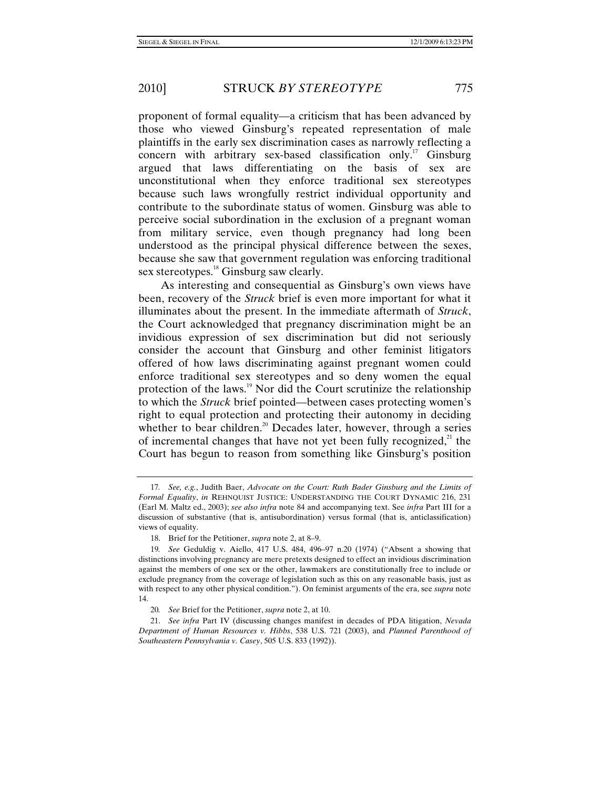proponent of formal equality—a criticism that has been advanced by those who viewed Ginsburg's repeated representation of male plaintiffs in the early sex discrimination cases as narrowly reflecting a concern with arbitrary sex-based classification only.<sup>17</sup> Ginsburg argued that laws differentiating on the basis of sex are unconstitutional when they enforce traditional sex stereotypes because such laws wrongfully restrict individual opportunity and contribute to the subordinate status of women. Ginsburg was able to perceive social subordination in the exclusion of a pregnant woman from military service, even though pregnancy had long been understood as the principal physical difference between the sexes, because she saw that government regulation was enforcing traditional sex stereotypes.<sup>18</sup> Ginsburg saw clearly.

As interesting and consequential as Ginsburg's own views have been, recovery of the *Struck* brief is even more important for what it illuminates about the present. In the immediate aftermath of *Struck*, the Court acknowledged that pregnancy discrimination might be an invidious expression of sex discrimination but did not seriously consider the account that Ginsburg and other feminist litigators offered of how laws discriminating against pregnant women could enforce traditional sex stereotypes and so deny women the equal protection of the laws.19 Nor did the Court scrutinize the relationship to which the *Struck* brief pointed—between cases protecting women's right to equal protection and protecting their autonomy in deciding whether to bear children.<sup>20</sup> Decades later, however, through a series of incremental changes that have not yet been fully recognized, $2<sup>1</sup>$  the Court has begun to reason from something like Ginsburg's position

<sup>17</sup>*. See, e.g.*, Judith Baer, *Advocate on the Court: Ruth Bader Ginsburg and the Limits of Formal Equality*, *in* REHNQUIST JUSTICE: UNDERSTANDING THE COURT DYNAMIC 216, 231 (Earl M. Maltz ed., 2003); *see also infra* note 84 and accompanying text. See *infra* Part III for a discussion of substantive (that is, antisubordination) versus formal (that is, anticlassification) views of equality.

 <sup>18.</sup> Brief for the Petitioner, *supra* note 2, at 8–9.

<sup>19</sup>*. See* Geduldig v. Aiello, 417 U.S. 484, 496–97 n.20 (1974) ("Absent a showing that distinctions involving pregnancy are mere pretexts designed to effect an invidious discrimination against the members of one sex or the other, lawmakers are constitutionally free to include or exclude pregnancy from the coverage of legislation such as this on any reasonable basis, just as with respect to any other physical condition."). On feminist arguments of the era, see *supra* note 14.

<sup>20</sup>*. See* Brief for the Petitioner, *supra* note 2, at 10.

 <sup>21.</sup> *See infra* Part IV (discussing changes manifest in decades of PDA litigation, *Nevada Department of Human Resources v. Hibbs*, 538 U.S. 721 (2003), and *Planned Parenthood of Southeastern Pennsylvania v. Casey*, 505 U.S. 833 (1992)).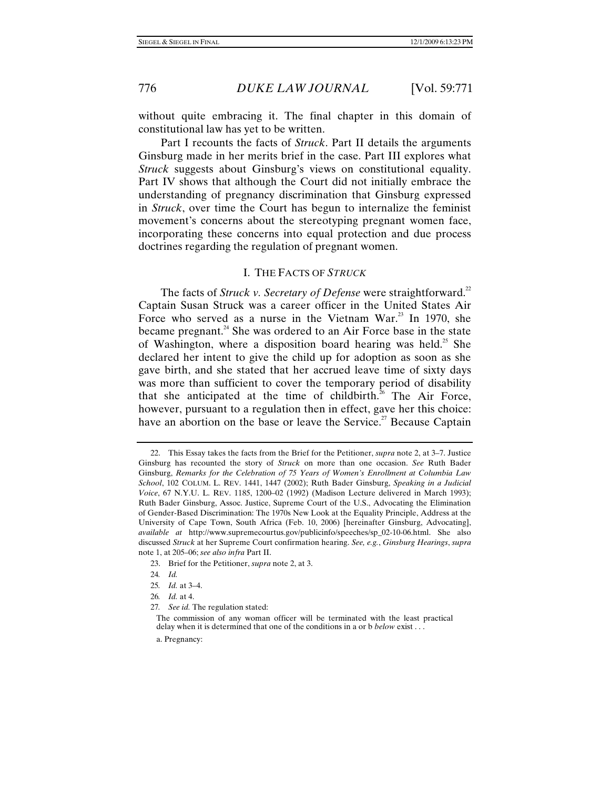without quite embracing it. The final chapter in this domain of constitutional law has yet to be written.

Part I recounts the facts of *Struck*. Part II details the arguments Ginsburg made in her merits brief in the case. Part III explores what *Struck* suggests about Ginsburg's views on constitutional equality. Part IV shows that although the Court did not initially embrace the understanding of pregnancy discrimination that Ginsburg expressed in *Struck*, over time the Court has begun to internalize the feminist movement's concerns about the stereotyping pregnant women face, incorporating these concerns into equal protection and due process doctrines regarding the regulation of pregnant women.

### I. THE FACTS OF *STRUCK*

The facts of *Struck v. Secretary of Defense* were straightforward.<sup>22</sup> Captain Susan Struck was a career officer in the United States Air Force who served as a nurse in the Vietnam War.<sup>23</sup> In 1970, she became pregnant.<sup>24</sup> She was ordered to an Air Force base in the state of Washington, where a disposition board hearing was held.<sup>25</sup> She declared her intent to give the child up for adoption as soon as she gave birth, and she stated that her accrued leave time of sixty days was more than sufficient to cover the temporary period of disability that she anticipated at the time of childbirth.<sup>26</sup> The Air Force, however, pursuant to a regulation then in effect, gave her this choice: have an abortion on the base or leave the Service.<sup>27</sup> Because Captain

 <sup>22.</sup> This Essay takes the facts from the Brief for the Petitioner, *supra* note 2, at 3–7. Justice Ginsburg has recounted the story of *Struck* on more than one occasion. *See* Ruth Bader Ginsburg, *Remarks for the Celebration of 75 Years of Women's Enrollment at Columbia Law School*, 102 COLUM. L. REV. 1441, 1447 (2002); Ruth Bader Ginsburg, *Speaking in a Judicial Voice*, 67 N.Y.U. L. REV. 1185, 1200–02 (1992) (Madison Lecture delivered in March 1993); Ruth Bader Ginsburg, Assoc. Justice, Supreme Court of the U.S., Advocating the Elimination of Gender-Based Discrimination: The 1970s New Look at the Equality Principle, Address at the University of Cape Town, South Africa (Feb. 10, 2006) [hereinafter Ginsburg, Advocating], *available at* http://www.supremecourtus.gov/publicinfo/speeches/sp\_02-10-06.html. She also discussed *Struck* at her Supreme Court confirmation hearing. *See, e.g.*, *Ginsburg Hearings*, *supra*  note 1, at 205–06; *see also infra* Part II.

 <sup>23.</sup> Brief for the Petitioner, *supra* note 2, at 3.

<sup>24</sup>*. Id.*

<sup>25</sup>*. Id.* at 3–4.

<sup>26</sup>*. Id.* at 4.

<sup>27</sup>*. See id.* The regulation stated:

The commission of any woman officer will be terminated with the least practical delay when it is determined that one of the conditions in a or b *below* exist . . .

a. Pregnancy: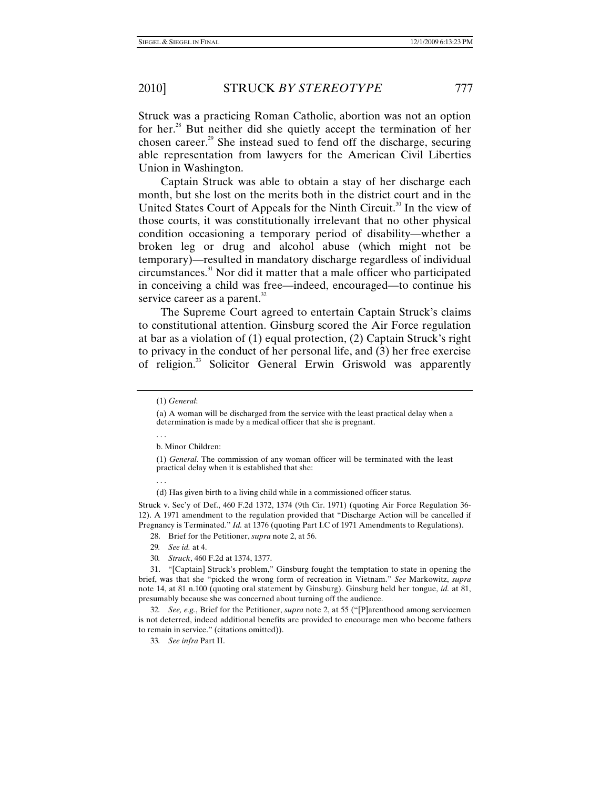Struck was a practicing Roman Catholic, abortion was not an option for her.28 But neither did she quietly accept the termination of her chosen career.<sup>29</sup> She instead sued to fend off the discharge, securing able representation from lawyers for the American Civil Liberties Union in Washington.

Captain Struck was able to obtain a stay of her discharge each month, but she lost on the merits both in the district court and in the United States Court of Appeals for the Ninth Circuit.<sup>30</sup> In the view of those courts, it was constitutionally irrelevant that no other physical condition occasioning a temporary period of disability—whether a broken leg or drug and alcohol abuse (which might not be temporary)—resulted in mandatory discharge regardless of individual circumstances.31 Nor did it matter that a male officer who participated in conceiving a child was free—indeed, encouraged—to continue his service career as a parent. $32$ 

The Supreme Court agreed to entertain Captain Struck's claims to constitutional attention. Ginsburg scored the Air Force regulation at bar as a violation of (1) equal protection, (2) Captain Struck's right to privacy in the conduct of her personal life, and (3) her free exercise of religion.<sup>33</sup> Solicitor General Erwin Griswold was apparently

b. Minor Children:

(1) *General*. The commission of any woman officer will be terminated with the least practical delay when it is established that she:

. . .

. . .

(d) Has given birth to a living child while in a commissioned officer status.

Struck v. Sec'y of Def., 460 F.2d 1372, 1374 (9th Cir. 1971) (quoting Air Force Regulation 36- 12). A 1971 amendment to the regulation provided that "Discharge Action will be cancelled if Pregnancy is Terminated." *Id.* at 1376 (quoting Part I.C of 1971 Amendments to Regulations).

28. Brief for the Petitioner, *supra* note 2, at 56.

- 29*. See id.* at 4.
- 30*. Struck*, 460 F.2d at 1374, 1377.

 31. "[Captain] Struck's problem," Ginsburg fought the temptation to state in opening the brief, was that she "picked the wrong form of recreation in Vietnam." *See* Markowitz, *supra* note 14, at 81 n.100 (quoting oral statement by Ginsburg). Ginsburg held her tongue, *id.* at 81, presumably because she was concerned about turning off the audience.

32*. See, e.g.*, Brief for the Petitioner, *supra* note 2, at 55 ("[P]arenthood among servicemen is not deterred, indeed additional benefits are provided to encourage men who become fathers to remain in service." (citations omitted)).

33*. See infra* Part II.

<sup>(1)</sup> *General*:

<sup>(</sup>a) A woman will be discharged from the service with the least practical delay when a determination is made by a medical officer that she is pregnant.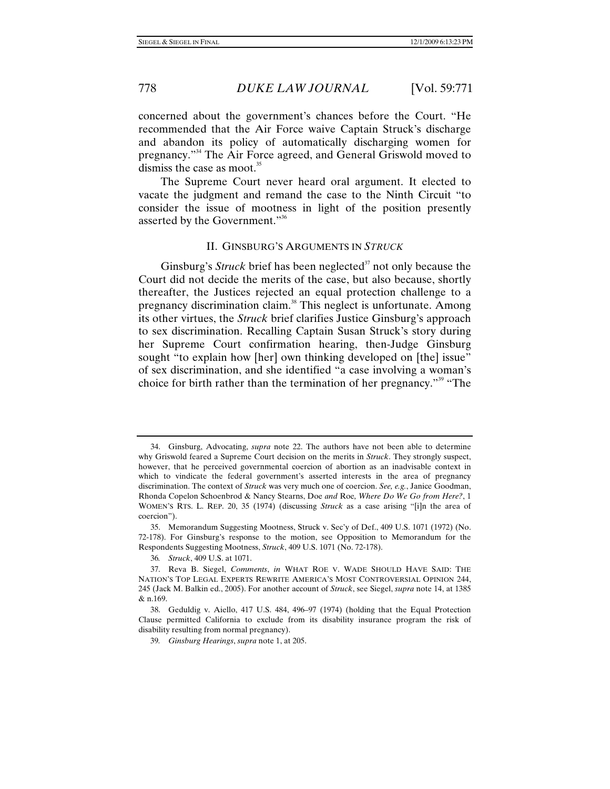concerned about the government's chances before the Court. "He recommended that the Air Force waive Captain Struck's discharge and abandon its policy of automatically discharging women for pregnancy."34 The Air Force agreed, and General Griswold moved to dismiss the case as moot.<sup>35</sup>

The Supreme Court never heard oral argument. It elected to vacate the judgment and remand the case to the Ninth Circuit "to consider the issue of mootness in light of the position presently asserted by the Government."<sup>36</sup>

#### II. GINSBURG'S ARGUMENTS IN *STRUCK*

Ginsburg's *Struck* brief has been neglected<sup>37</sup> not only because the Court did not decide the merits of the case, but also because, shortly thereafter, the Justices rejected an equal protection challenge to a pregnancy discrimination claim.38 This neglect is unfortunate. Among its other virtues, the *Struck* brief clarifies Justice Ginsburg's approach to sex discrimination. Recalling Captain Susan Struck's story during her Supreme Court confirmation hearing, then-Judge Ginsburg sought "to explain how [her] own thinking developed on [the] issue" of sex discrimination, and she identified "a case involving a woman's choice for birth rather than the termination of her pregnancy."39 "The

 <sup>34.</sup> Ginsburg, Advocating, *supra* note 22. The authors have not been able to determine why Griswold feared a Supreme Court decision on the merits in *Struck*. They strongly suspect, however, that he perceived governmental coercion of abortion as an inadvisable context in which to vindicate the federal government's asserted interests in the area of pregnancy discrimination. The context of *Struck* was very much one of coercion. *See, e.g.*, Janice Goodman, Rhonda Copelon Schoenbrod & Nancy Stearns, Doe *and* Roe*, Where Do We Go from Here?*, 1 WOMEN'S RTS. L. REP. 20, 35 (1974) (discussing *Struck* as a case arising "[i]n the area of coercion").

 <sup>35.</sup> Memorandum Suggesting Mootness, Struck v. Sec'y of Def., 409 U.S. 1071 (1972) (No. 72-178). For Ginsburg's response to the motion, see Opposition to Memorandum for the Respondents Suggesting Mootness, *Struck*, 409 U.S. 1071 (No. 72-178).

<sup>36</sup>*. Struck*, 409 U.S. at 1071.

 <sup>37.</sup> Reva B. Siegel, *Comments*, *in* WHAT ROE V. WADE SHOULD HAVE SAID: THE NATION'S TOP LEGAL EXPERTS REWRITE AMERICA'S MOST CONTROVERSIAL OPINION 244, 245 (Jack M. Balkin ed., 2005). For another account of *Struck*, see Siegel, *supra* note 14, at 1385 & n.169.

 <sup>38.</sup> Geduldig v. Aiello, 417 U.S. 484, 496–97 (1974) (holding that the Equal Protection Clause permitted California to exclude from its disability insurance program the risk of disability resulting from normal pregnancy).

<sup>39</sup>*. Ginsburg Hearings*, *supra* note 1, at 205.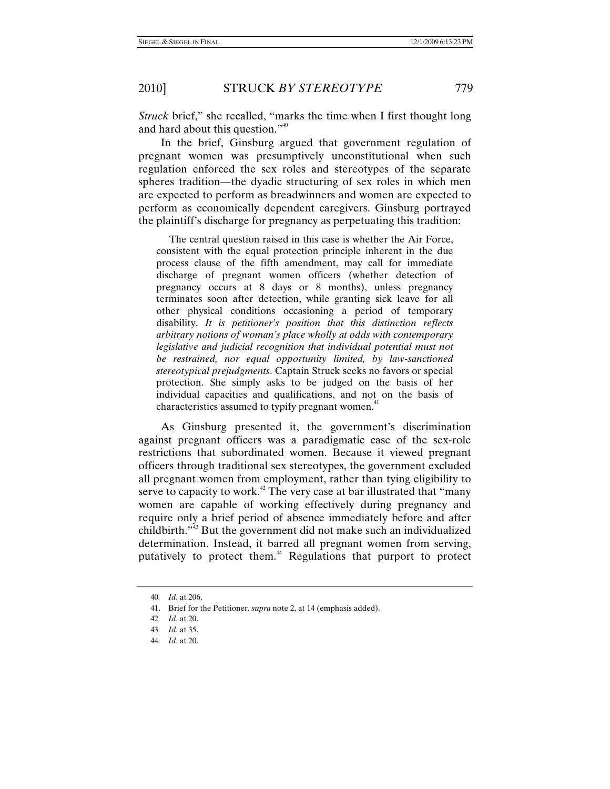*Struck* brief," she recalled, "marks the time when I first thought long and hard about this question."<sup>40</sup>

In the brief, Ginsburg argued that government regulation of pregnant women was presumptively unconstitutional when such regulation enforced the sex roles and stereotypes of the separate spheres tradition—the dyadic structuring of sex roles in which men are expected to perform as breadwinners and women are expected to perform as economically dependent caregivers. Ginsburg portrayed the plaintiff's discharge for pregnancy as perpetuating this tradition:

 The central question raised in this case is whether the Air Force, consistent with the equal protection principle inherent in the due process clause of the fifth amendment, may call for immediate discharge of pregnant women officers (whether detection of pregnancy occurs at 8 days or 8 months), unless pregnancy terminates soon after detection, while granting sick leave for all other physical conditions occasioning a period of temporary disability. *It is petitioner's position that this distinction reflects arbitrary notions of woman's place wholly at odds with contemporary*  legislative and judicial recognition that individual potential must not *be restrained, nor equal opportunity limited, by law-sanctioned stereotypical prejudgments*. Captain Struck seeks no favors or special protection. She simply asks to be judged on the basis of her individual capacities and qualifications, and not on the basis of characteristics assumed to typify pregnant women.<sup>41</sup>

As Ginsburg presented it, the government's discrimination against pregnant officers was a paradigmatic case of the sex-role restrictions that subordinated women. Because it viewed pregnant officers through traditional sex stereotypes, the government excluded all pregnant women from employment, rather than tying eligibility to serve to capacity to work.<sup>42</sup> The very case at bar illustrated that "many" women are capable of working effectively during pregnancy and require only a brief period of absence immediately before and after childbirth."43 But the government did not make such an individualized determination. Instead, it barred all pregnant women from serving, putatively to protect them.<sup>44</sup> Regulations that purport to protect

<sup>40</sup>*. Id*. at 206.

 <sup>41.</sup> Brief for the Petitioner, *supra* note 2, at 14 (emphasis added).

<sup>42</sup>*. Id*. at 20.

<sup>43</sup>*. Id*. at 35.

<sup>44</sup>*. Id*. at 20.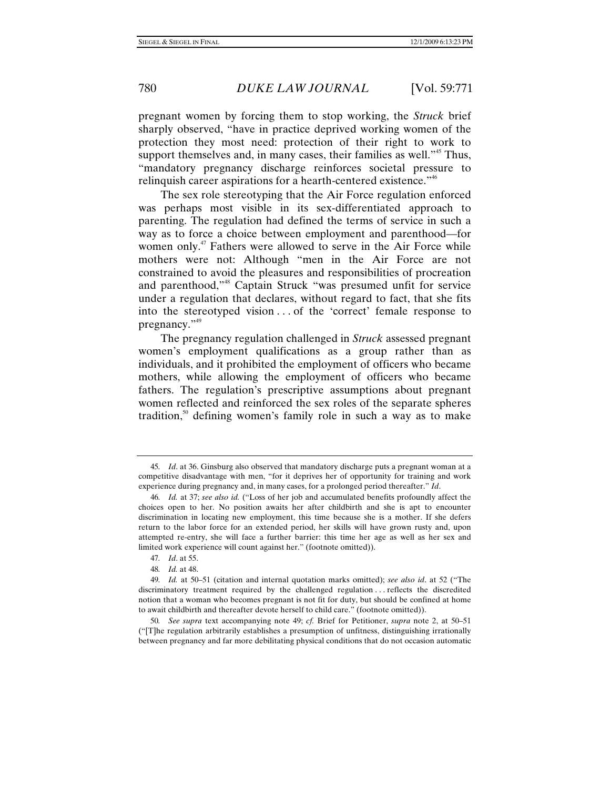pregnant women by forcing them to stop working, the *Struck* brief sharply observed, "have in practice deprived working women of the protection they most need: protection of their right to work to support themselves and, in many cases, their families as well."<sup>45</sup> Thus, "mandatory pregnancy discharge reinforces societal pressure to relinquish career aspirations for a hearth-centered existence."<sup>46</sup>

The sex role stereotyping that the Air Force regulation enforced was perhaps most visible in its sex-differentiated approach to parenting. The regulation had defined the terms of service in such a way as to force a choice between employment and parenthood—for women only.<sup>47</sup> Fathers were allowed to serve in the Air Force while mothers were not: Although "men in the Air Force are not constrained to avoid the pleasures and responsibilities of procreation and parenthood,"48 Captain Struck "was presumed unfit for service under a regulation that declares, without regard to fact, that she fits into the stereotyped vision . . . of the 'correct' female response to pregnancy."<sup>49</sup>

The pregnancy regulation challenged in *Struck* assessed pregnant women's employment qualifications as a group rather than as individuals, and it prohibited the employment of officers who became mothers, while allowing the employment of officers who became fathers. The regulation's prescriptive assumptions about pregnant women reflected and reinforced the sex roles of the separate spheres tradition, $50$  defining women's family role in such a way as to make

<sup>45</sup>*. Id*. at 36. Ginsburg also observed that mandatory discharge puts a pregnant woman at a competitive disadvantage with men, "for it deprives her of opportunity for training and work experience during pregnancy and, in many cases, for a prolonged period thereafter." *Id*.

<sup>46</sup>*. Id.* at 37; *see also id.* ("Loss of her job and accumulated benefits profoundly affect the choices open to her. No position awaits her after childbirth and she is apt to encounter discrimination in locating new employment, this time because she is a mother. If she defers return to the labor force for an extended period, her skills will have grown rusty and, upon attempted re-entry, she will face a further barrier: this time her age as well as her sex and limited work experience will count against her." (footnote omitted)).

<sup>47</sup>*. Id*. at 55.

<sup>48</sup>*. Id.* at 48.

<sup>49</sup>*. Id.* at 50–51 (citation and internal quotation marks omitted); *see also id*. at 52 ("The discriminatory treatment required by the challenged regulation . . . reflects the discredited notion that a woman who becomes pregnant is not fit for duty, but should be confined at home to await childbirth and thereafter devote herself to child care." (footnote omitted)).

<sup>50</sup>*. See supra* text accompanying note 49; *cf.* Brief for Petitioner, *supra* note 2, at 50–51 ("[T]he regulation arbitrarily establishes a presumption of unfitness, distinguishing irrationally between pregnancy and far more debilitating physical conditions that do not occasion automatic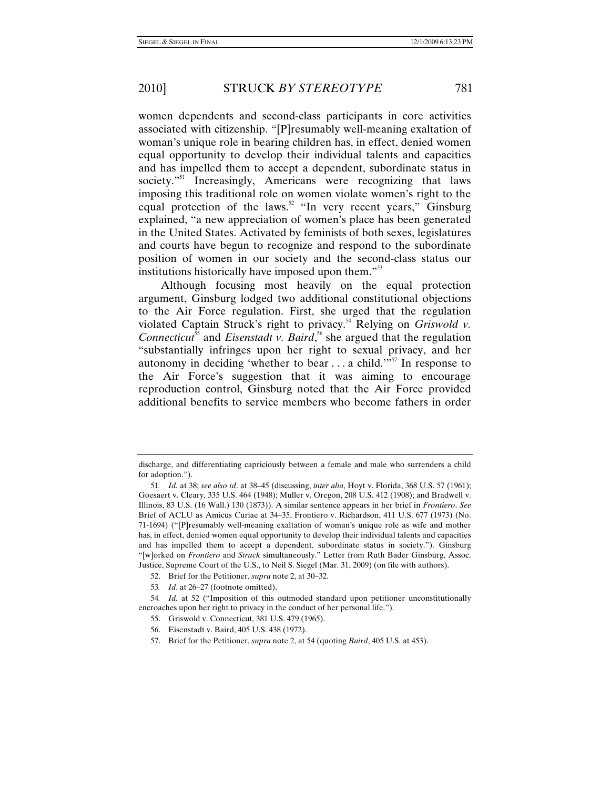women dependents and second-class participants in core activities associated with citizenship. "[P]resumably well-meaning exaltation of woman's unique role in bearing children has, in effect, denied women equal opportunity to develop their individual talents and capacities and has impelled them to accept a dependent, subordinate status in society."<sup>51</sup> Increasingly, Americans were recognizing that laws imposing this traditional role on women violate women's right to the equal protection of the laws.<sup>52</sup> "In very recent years," Ginsburg explained, "a new appreciation of women's place has been generated in the United States. Activated by feminists of both sexes, legislatures and courts have begun to recognize and respond to the subordinate position of women in our society and the second-class status our institutions historically have imposed upon them."<sup>53</sup>

Although focusing most heavily on the equal protection argument, Ginsburg lodged two additional constitutional objections to the Air Force regulation. First, she urged that the regulation violated Captain Struck's right to privacy.<sup>54</sup> Relying on *Griswold v. Connecticut*<sup>55</sup> and *Eisenstadt v. Baird*,<sup>56</sup> she argued that the regulation "substantially infringes upon her right to sexual privacy, and her autonomy in deciding 'whether to bear  $\dots$  a child.'"<sup>57</sup> In response to the Air Force's suggestion that it was aiming to encourage reproduction control, Ginsburg noted that the Air Force provided additional benefits to service members who become fathers in order

discharge, and differentiating capriciously between a female and male who surrenders a child for adoption.").

<sup>51</sup>*. Id.* at 38; *see also id*. at 38–45 (discussing, *inter alia*, Hoyt v. Florida, 368 U.S. 57 (1961); Goesaert v. Cleary, 335 U.S. 464 (1948); Muller v. Oregon, 208 U.S. 412 (1908); and Bradwell v. Illinois, 83 U.S. (16 Wall.) 130 (1873)). A similar sentence appears in her brief in *Frontiero*. *See*  Brief of ACLU as Amicus Curiae at 34–35, Frontiero v. Richardson, 411 U.S. 677 (1973) (No. 71-1694) ("[P]resumably well-meaning exaltation of woman's unique role as wife and mother has, in effect, denied women equal opportunity to develop their individual talents and capacities and has impelled them to accept a dependent, subordinate status in society."). Ginsburg "[w]orked on *Frontiero* and *Struck* simultaneously." Letter from Ruth Bader Ginsburg, Assoc. Justice, Supreme Court of the U.S., to Neil S. Siegel (Mar. 31, 2009) (on file with authors).

 <sup>52.</sup> Brief for the Petitioner, *supra* note 2, at 30–32.

<sup>53</sup>*. Id*. at 26–27 (footnote omitted).

<sup>54</sup>*. Id.* at 52 ("Imposition of this outmoded standard upon petitioner unconstitutionally encroaches upon her right to privacy in the conduct of her personal life.").

 <sup>55.</sup> Griswold v. Connecticut, 381 U.S. 479 (1965).

 <sup>56.</sup> Eisenstadt v. Baird, 405 U.S. 438 (1972).

 <sup>57.</sup> Brief for the Petitioner, *supra* note 2, at 54 (quoting *Baird*, 405 U.S. at 453).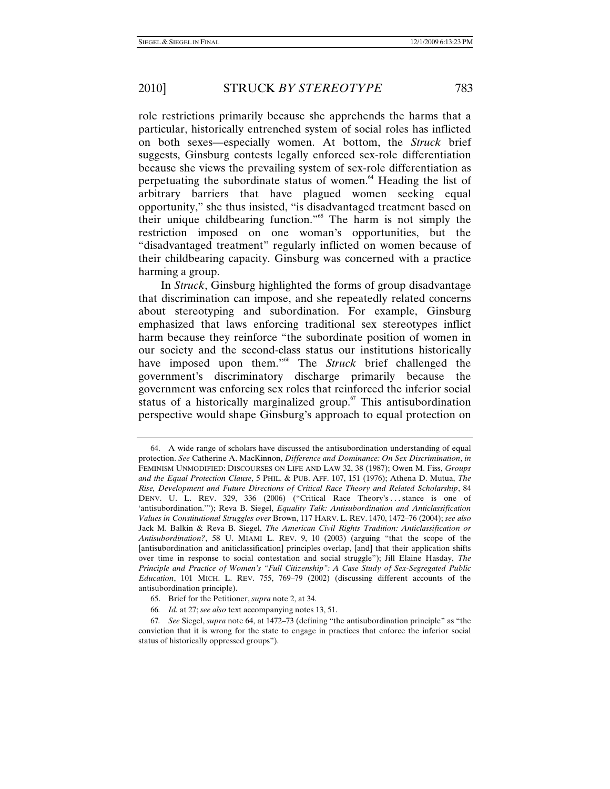role restrictions primarily because she apprehends the harms that a particular, historically entrenched system of social roles has inflicted on both sexes—especially women. At bottom, the *Struck* brief suggests, Ginsburg contests legally enforced sex-role differentiation because she views the prevailing system of sex-role differentiation as perpetuating the subordinate status of women.<sup>64</sup> Heading the list of arbitrary barriers that have plagued women seeking equal opportunity," she thus insisted, "is disadvantaged treatment based on their unique childbearing function."65 The harm is not simply the restriction imposed on one woman's opportunities, but the "disadvantaged treatment" regularly inflicted on women because of their childbearing capacity. Ginsburg was concerned with a practice harming a group.

In *Struck*, Ginsburg highlighted the forms of group disadvantage that discrimination can impose, and she repeatedly related concerns about stereotyping and subordination. For example, Ginsburg emphasized that laws enforcing traditional sex stereotypes inflict harm because they reinforce "the subordinate position of women in our society and the second-class status our institutions historically have imposed upon them."<sup>66</sup> The *Struck* brief challenged the government's discriminatory discharge primarily because the government was enforcing sex roles that reinforced the inferior social status of a historically marginalized group. $\delta$ <sup>7</sup> This antisubordination perspective would shape Ginsburg's approach to equal protection on

66*. Id.* at 27; *see also* text accompanying notes 13, 51.

 <sup>64.</sup> A wide range of scholars have discussed the antisubordination understanding of equal protection. *See* Catherine A. MacKinnon, *Difference and Dominance: On Sex Discrimination*, *in*  FEMINISM UNMODIFIED: DISCOURSES ON LIFE AND LAW 32, 38 (1987); Owen M. Fiss, *Groups and the Equal Protection Clause*, 5 PHIL. & PUB. AFF. 107, 151 (1976); Athena D. Mutua, *The Rise, Development and Future Directions of Critical Race Theory and Related Scholarship*, 84 DENV. U. L. REV. 329, 336 (2006) ("Critical Race Theory's ... stance is one of 'antisubordination.'"); Reva B. Siegel, *Equality Talk: Antisubordination and Anticlassification Values in Constitutional Struggles over* Brown, 117 HARV. L. REV. 1470, 1472–76 (2004); *see also* Jack M. Balkin & Reva B. Siegel, *The American Civil Rights Tradition: Anticlassification or Antisubordination?*, 58 U. MIAMI L. REV. 9, 10 (2003) (arguing "that the scope of the [antisubordination and aniticlassification] principles overlap, [and] that their application shifts over time in response to social contestation and social struggle"); Jill Elaine Hasday, *The Principle and Practice of Women's "Full Citizenship": A Case Study of Sex-Segregated Public Education*, 101 MICH. L. REV. 755, 769–79 (2002) (discussing different accounts of the antisubordination principle).

 <sup>65.</sup> Brief for the Petitioner, *supra* note 2, at 34.

<sup>67</sup>*. See* Siegel, *supra* note 64, at 1472–73 (defining "the antisubordination principle" as "the conviction that it is wrong for the state to engage in practices that enforce the inferior social status of historically oppressed groups").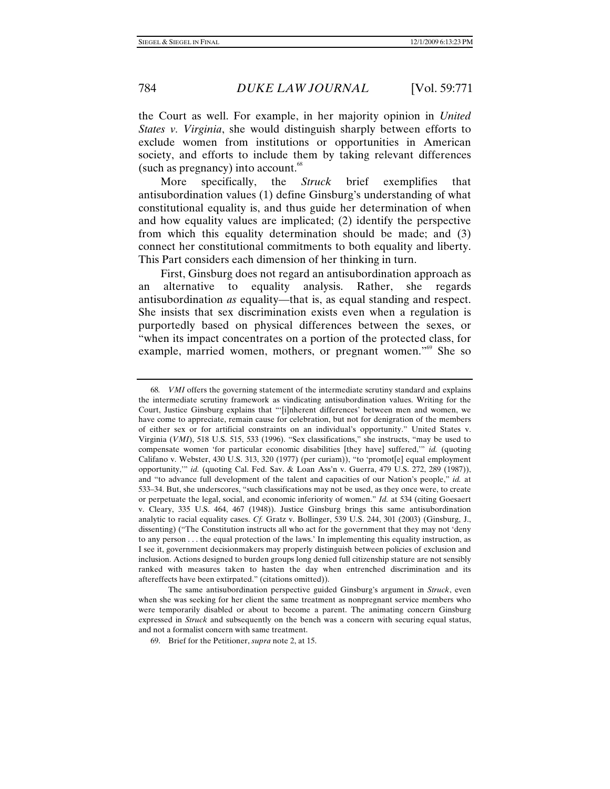the Court as well. For example, in her majority opinion in *United States v. Virginia*, she would distinguish sharply between efforts to exclude women from institutions or opportunities in American society, and efforts to include them by taking relevant differences (such as pregnancy) into account.<sup>68</sup>

More specifically, the *Struck* brief exemplifies that antisubordination values (1) define Ginsburg's understanding of what constitutional equality is, and thus guide her determination of when and how equality values are implicated; (2) identify the perspective from which this equality determination should be made; and (3) connect her constitutional commitments to both equality and liberty. This Part considers each dimension of her thinking in turn.

First, Ginsburg does not regard an antisubordination approach as an alternative to equality analysis. Rather, she regards antisubordination *as* equality—that is, as equal standing and respect. She insists that sex discrimination exists even when a regulation is purportedly based on physical differences between the sexes, or "when its impact concentrates on a portion of the protected class, for example, married women, mothers, or pregnant women."<sup>69</sup> She so

<sup>68</sup>*. VMI* offers the governing statement of the intermediate scrutiny standard and explains the intermediate scrutiny framework as vindicating antisubordination values. Writing for the Court, Justice Ginsburg explains that "'[i]nherent differences' between men and women, we have come to appreciate, remain cause for celebration, but not for denigration of the members of either sex or for artificial constraints on an individual's opportunity." United States v. Virginia (*VMI*), 518 U.S. 515, 533 (1996). "Sex classifications," she instructs, "may be used to compensate women 'for particular economic disabilities [they have] suffered,'" *id.* (quoting Califano v. Webster, 430 U.S. 313, 320 (1977) (per curiam)), "to 'promot[e] equal employment opportunity,'" *id.* (quoting Cal. Fed. Sav. & Loan Ass'n v. Guerra, 479 U.S. 272, 289 (1987)), and "to advance full development of the talent and capacities of our Nation's people," *id.* at 533–34. But, she underscores, "such classifications may not be used, as they once were, to create or perpetuate the legal, social, and economic inferiority of women." *Id.* at 534 (citing Goesaert v. Cleary, 335 U.S. 464, 467 (1948)). Justice Ginsburg brings this same antisubordination analytic to racial equality cases. *Cf.* Gratz v. Bollinger, 539 U.S. 244, 301 (2003) (Ginsburg, J., dissenting) ("The Constitution instructs all who act for the government that they may not 'deny to any person . . . the equal protection of the laws.' In implementing this equality instruction, as I see it, government decisionmakers may properly distinguish between policies of exclusion and inclusion. Actions designed to burden groups long denied full citizenship stature are not sensibly ranked with measures taken to hasten the day when entrenched discrimination and its aftereffects have been extirpated." (citations omitted)).

The same antisubordination perspective guided Ginsburg's argument in *Struck*, even when she was seeking for her client the same treatment as nonpregnant service members who were temporarily disabled or about to become a parent. The animating concern Ginsburg expressed in *Struck* and subsequently on the bench was a concern with securing equal status, and not a formalist concern with same treatment.

 <sup>69.</sup> Brief for the Petitioner, *supra* note 2, at 15.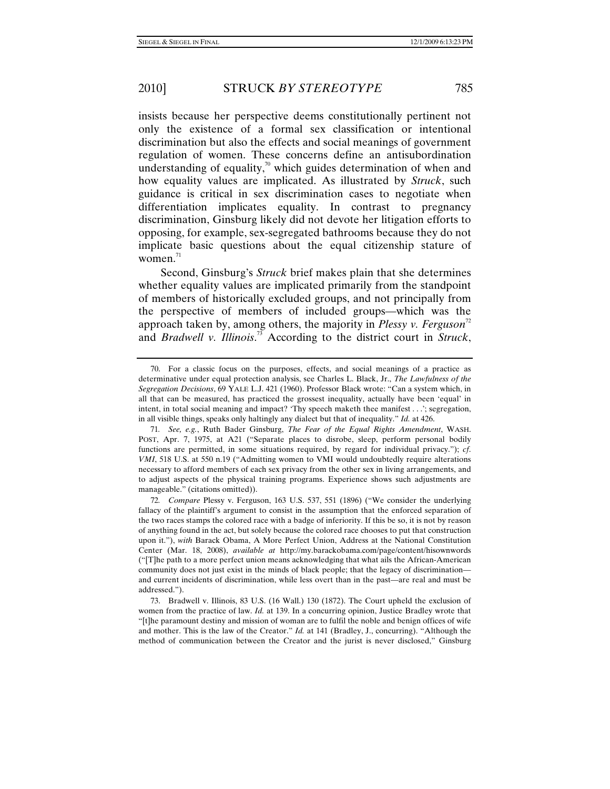insists because her perspective deems constitutionally pertinent not only the existence of a formal sex classification or intentional discrimination but also the effects and social meanings of government regulation of women. These concerns define an antisubordination understanding of equality,<sup>70</sup> which guides determination of when and how equality values are implicated. As illustrated by *Struck*, such guidance is critical in sex discrimination cases to negotiate when differentiation implicates equality. In contrast to pregnancy discrimination, Ginsburg likely did not devote her litigation efforts to opposing, for example, sex-segregated bathrooms because they do not implicate basic questions about the equal citizenship stature of women. $71$ 

Second, Ginsburg's *Struck* brief makes plain that she determines whether equality values are implicated primarily from the standpoint of members of historically excluded groups, and not principally from the perspective of members of included groups—which was the approach taken by, among others, the majority in *Plessy v. Ferguson*<sup> $n$ </sup> and *Bradwell v. Illinois*. 73 According to the district court in *Struck*,

 <sup>70.</sup> For a classic focus on the purposes, effects, and social meanings of a practice as determinative under equal protection analysis, see Charles L. Black, Jr., *The Lawfulness of the Segregation Decisions*, 69 YALE L.J. 421 (1960). Professor Black wrote: "Can a system which, in all that can be measured, has practiced the grossest inequality, actually have been 'equal' in intent, in total social meaning and impact? 'Thy speech maketh thee manifest . . .'; segregation, in all visible things, speaks only haltingly any dialect but that of inequality." *Id.* at 426.

<sup>71</sup>*. See, e.g.*, Ruth Bader Ginsburg, *The Fear of the Equal Rights Amendment*, WASH. POST, Apr. 7, 1975, at A21 ("Separate places to disrobe, sleep, perform personal bodily functions are permitted, in some situations required, by regard for individual privacy."); *cf*. *VMI*, 518 U.S. at 550 n.19 ("Admitting women to VMI would undoubtedly require alterations necessary to afford members of each sex privacy from the other sex in living arrangements, and to adjust aspects of the physical training programs. Experience shows such adjustments are manageable." (citations omitted)).

<sup>72</sup>*. Compare* Plessy v. Ferguson, 163 U.S. 537, 551 (1896) ("We consider the underlying fallacy of the plaintiff's argument to consist in the assumption that the enforced separation of the two races stamps the colored race with a badge of inferiority. If this be so, it is not by reason of anything found in the act, but solely because the colored race chooses to put that construction upon it."), *with* Barack Obama, A More Perfect Union, Address at the National Constitution Center (Mar. 18, 2008), *available at* http://my.barackobama.com/page/content/hisownwords ("[T]he path to a more perfect union means acknowledging that what ails the African-American community does not just exist in the minds of black people; that the legacy of discrimination and current incidents of discrimination, while less overt than in the past—are real and must be addressed.").

 <sup>73.</sup> Bradwell v. Illinois, 83 U.S. (16 Wall.) 130 (1872). The Court upheld the exclusion of women from the practice of law. *Id.* at 139. In a concurring opinion, Justice Bradley wrote that "[t]he paramount destiny and mission of woman are to fulfil the noble and benign offices of wife and mother. This is the law of the Creator." *Id.* at 141 (Bradley, J., concurring). "Although the method of communication between the Creator and the jurist is never disclosed," Ginsburg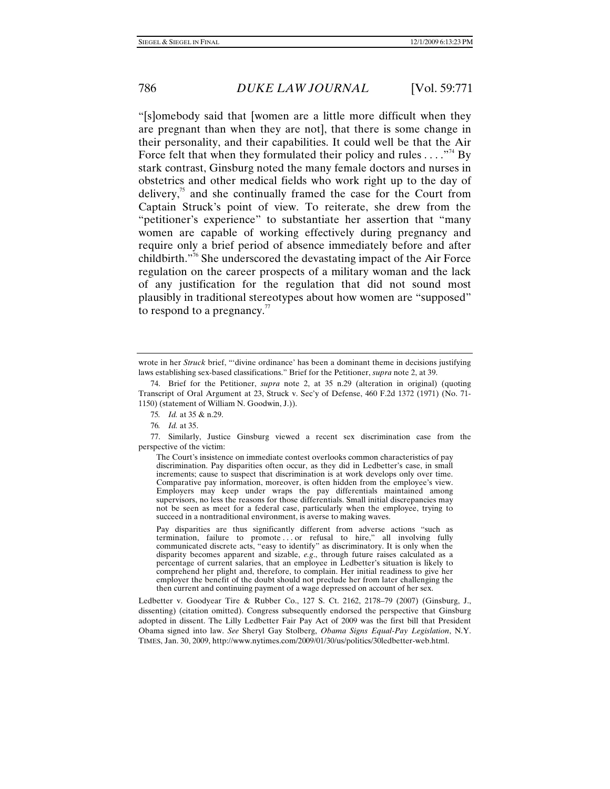"[s]omebody said that [women are a little more difficult when they are pregnant than when they are not], that there is some change in their personality, and their capabilities. It could well be that the Air Force felt that when they formulated their policy and rules  $\dots$ ."<sup>74</sup> By stark contrast, Ginsburg noted the many female doctors and nurses in obstetrics and other medical fields who work right up to the day of delivery, $\frac{75}{10}$  and she continually framed the case for the Court from Captain Struck's point of view. To reiterate, she drew from the "petitioner's experience" to substantiate her assertion that "many women are capable of working effectively during pregnancy and require only a brief period of absence immediately before and after childbirth. $17<sup>76</sup>$  She underscored the devastating impact of the Air Force regulation on the career prospects of a military woman and the lack of any justification for the regulation that did not sound most plausibly in traditional stereotypes about how women are "supposed" to respond to a pregnancy. $\frac{7}{7}$ 

Pay disparities are thus significantly different from adverse actions "such as termination, failure to promote . . . or refusal to hire," all involving fully communicated discrete acts, "easy to identify" as discriminatory. It is only when the disparity becomes apparent and sizable, *e.g*., through future raises calculated as a percentage of current salaries, that an employee in Ledbetter's situation is likely to comprehend her plight and, therefore, to complain. Her initial readiness to give her employer the benefit of the doubt should not preclude her from later challenging the then current and continuing payment of a wage depressed on account of her sex.

Ledbetter v. Goodyear Tire & Rubber Co., 127 S. Ct. 2162, 2178–79 (2007) (Ginsburg, J., dissenting) (citation omitted). Congress subsequently endorsed the perspective that Ginsburg adopted in dissent. The Lilly Ledbetter Fair Pay Act of 2009 was the first bill that President Obama signed into law. *See* Sheryl Gay Stolberg, *Obama Signs Equal-Pay Legislation*, N.Y. TIMES, Jan. 30, 2009, http://www.nytimes.com/2009/01/30/us/politics/30ledbetter-web.html.

wrote in her *Struck* brief, "'divine ordinance' has been a dominant theme in decisions justifying laws establishing sex-based classifications." Brief for the Petitioner, *supra* note 2, at 39.

 <sup>74.</sup> Brief for the Petitioner, *supra* note 2, at 35 n.29 (alteration in original) (quoting Transcript of Oral Argument at 23, Struck v. Sec'y of Defense, 460 F.2d 1372 (1971) (No. 71- 1150) (statement of William N. Goodwin, J.)).

<sup>75</sup>*. Id.* at 35 & n.29.

<sup>76</sup>*. Id.* at 35.

 <sup>77.</sup> Similarly, Justice Ginsburg viewed a recent sex discrimination case from the perspective of the victim:

The Court's insistence on immediate contest overlooks common characteristics of pay discrimination. Pay disparities often occur, as they did in Ledbetter's case, in small increments; cause to suspect that discrimination is at work develops only over time. Comparative pay information, moreover, is often hidden from the employee's view. Employers may keep under wraps the pay differentials maintained among supervisors, no less the reasons for those differentials. Small initial discrepancies may not be seen as meet for a federal case, particularly when the employee, trying to succeed in a nontraditional environment, is averse to making waves.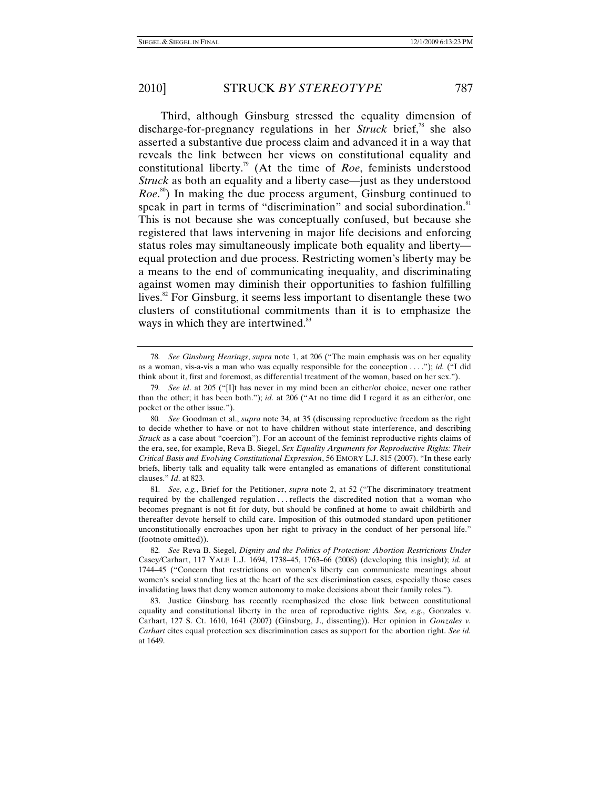Third, although Ginsburg stressed the equality dimension of discharge-for-pregnancy regulations in her *Struck* brief,<sup>78</sup> she also asserted a substantive due process claim and advanced it in a way that reveals the link between her views on constitutional equality and constitutional liberty.79 (At the time of *Roe*, feminists understood *Struck* as both an equality and a liberty case—just as they understood *Roe.*<sup>80</sup>) In making the due process argument, Ginsburg continued to speak in part in terms of "discrimination" and social subordination.<sup>81</sup> This is not because she was conceptually confused, but because she registered that laws intervening in major life decisions and enforcing status roles may simultaneously implicate both equality and liberty equal protection and due process. Restricting women's liberty may be a means to the end of communicating inequality, and discriminating against women may diminish their opportunities to fashion fulfilling lives. $82$  For Ginsburg, it seems less important to disentangle these two clusters of constitutional commitments than it is to emphasize the ways in which they are intertwined.<sup>83</sup>

<sup>78</sup>*. See Ginsburg Hearings*, *supra* note 1, at 206 ("The main emphasis was on her equality as a woman, vis-a-vis a man who was equally responsible for the conception . . . ."); *id.* ("I did think about it, first and foremost, as differential treatment of the woman, based on her sex.").

<sup>79</sup>*. See id*. at 205 ("[I]t has never in my mind been an either/or choice, never one rather than the other; it has been both."); *id.* at 206 ("At no time did I regard it as an either/or, one pocket or the other issue.").

<sup>80</sup>*. See* Goodman et al., *supra* note 34, at 35 (discussing reproductive freedom as the right to decide whether to have or not to have children without state interference, and describing *Struck* as a case about "coercion"). For an account of the feminist reproductive rights claims of the era, see, for example, Reva B. Siegel, *Sex Equality Arguments for Reproductive Rights: Their Critical Basis and Evolving Constitutional Expression*, 56 EMORY L.J. 815 (2007). "In these early briefs, liberty talk and equality talk were entangled as emanations of different constitutional clauses." *Id*. at 823.

<sup>81</sup>*. See, e.g.*, Brief for the Petitioner, *supra* note 2, at 52 ("The discriminatory treatment required by the challenged regulation . . . reflects the discredited notion that a woman who becomes pregnant is not fit for duty, but should be confined at home to await childbirth and thereafter devote herself to child care. Imposition of this outmoded standard upon petitioner unconstitutionally encroaches upon her right to privacy in the conduct of her personal life." (footnote omitted)).

<sup>82</sup>*. See* Reva B. Siegel, *Dignity and the Politics of Protection: Abortion Restrictions Under*  Casey*/*Carhart, 117 YALE L.J. 1694, 1738–45, 1763–66 (2008) (developing this insight); *id.* at 1744–45 ("Concern that restrictions on women's liberty can communicate meanings about women's social standing lies at the heart of the sex discrimination cases, especially those cases invalidating laws that deny women autonomy to make decisions about their family roles.").

 <sup>83.</sup> Justice Ginsburg has recently reemphasized the close link between constitutional equality and constitutional liberty in the area of reproductive rights. *See, e.g.*, Gonzales v. Carhart, 127 S. Ct. 1610, 1641 (2007) (Ginsburg, J., dissenting)). Her opinion in *Gonzales v. Carhart* cites equal protection sex discrimination cases as support for the abortion right. *See id.* at 1649.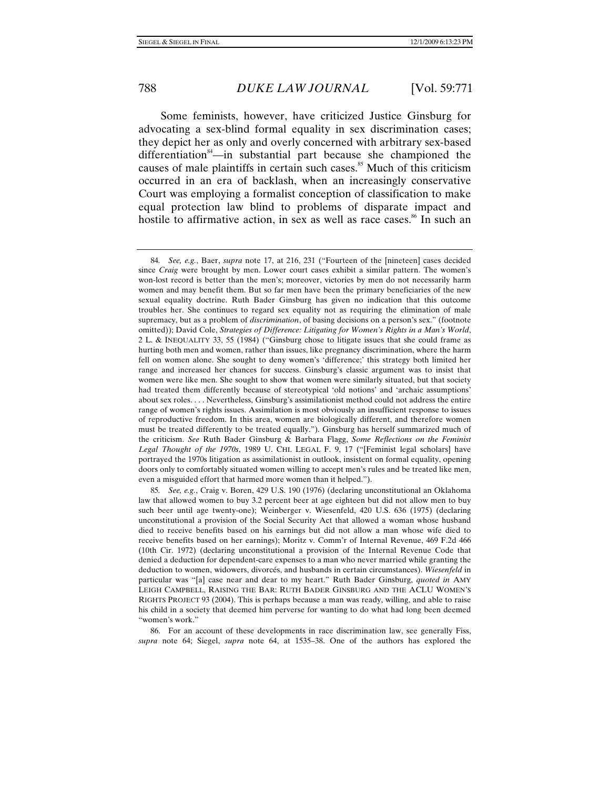Some feminists, however, have criticized Justice Ginsburg for advocating a sex-blind formal equality in sex discrimination cases; they depict her as only and overly concerned with arbitrary sex-based  $differential$  part because she championed the causes of male plaintiffs in certain such cases.<sup>85</sup> Much of this criticism occurred in an era of backlash, when an increasingly conservative Court was employing a formalist conception of classification to make equal protection law blind to problems of disparate impact and hostile to affirmative action, in sex as well as race cases.<sup>86</sup> In such an

 86. For an account of these developments in race discrimination law, see generally Fiss, *supra* note 64; Siegel, *supra* note 64, at 1535–38. One of the authors has explored the

<sup>84</sup>*. See, e.g.*, Baer, *supra* note 17, at 216, 231 ("Fourteen of the [nineteen] cases decided since *Craig* were brought by men. Lower court cases exhibit a similar pattern. The women's won-lost record is better than the men's; moreover, victories by men do not necessarily harm women and may benefit them. But so far men have been the primary beneficiaries of the new sexual equality doctrine. Ruth Bader Ginsburg has given no indication that this outcome troubles her. She continues to regard sex equality not as requiring the elimination of male supremacy, but as a problem of *discrimination*, of basing decisions on a person's sex." (footnote omitted)); David Cole, *Strategies of Difference: Litigating for Women's Rights in a Man's World*, 2 L. & INEQUALITY 33, 55 (1984) ("Ginsburg chose to litigate issues that she could frame as hurting both men and women, rather than issues, like pregnancy discrimination, where the harm fell on women alone. She sought to deny women's 'difference;' this strategy both limited her range and increased her chances for success. Ginsburg's classic argument was to insist that women were like men. She sought to show that women were similarly situated, but that society had treated them differently because of stereotypical 'old notions' and 'archaic assumptions' about sex roles. . . . Nevertheless, Ginsburg's assimilationist method could not address the entire range of women's rights issues. Assimilation is most obviously an insufficient response to issues of reproductive freedom. In this area, women are biologically different, and therefore women must be treated differently to be treated equally."). Ginsburg has herself summarized much of the criticism. *See* Ruth Bader Ginsburg & Barbara Flagg, *Some Reflections on the Feminist Legal Thought of the 1970s*, 1989 U. CHI. LEGAL F. 9, 17 ("[Feminist legal scholars] have portrayed the 1970s litigation as assimilationist in outlook, insistent on formal equality, opening doors only to comfortably situated women willing to accept men's rules and be treated like men, even a misguided effort that harmed more women than it helped.").

<sup>85</sup>*. See, e.g.*, Craig v. Boren, 429 U.S. 190 (1976) (declaring unconstitutional an Oklahoma law that allowed women to buy 3.2 percent beer at age eighteen but did not allow men to buy such beer until age twenty-one); Weinberger v. Wiesenfeld, 420 U.S. 636 (1975) (declaring unconstitutional a provision of the Social Security Act that allowed a woman whose husband died to receive benefits based on his earnings but did not allow a man whose wife died to receive benefits based on her earnings); Moritz v. Comm'r of Internal Revenue, 469 F.2d 466 (10th Cir. 1972) (declaring unconstitutional a provision of the Internal Revenue Code that denied a deduction for dependent-care expenses to a man who never married while granting the deduction to women, widowers, divorcés, and husbands in certain circumstances). *Wiesenfeld* in particular was "[a] case near and dear to my heart." Ruth Bader Ginsburg, *quoted in* AMY LEIGH CAMPBELL, RAISING THE BAR: RUTH BADER GINSBURG AND THE ACLU WOMEN'S RIGHTS PROJECT 93 (2004). This is perhaps because a man was ready, willing, and able to raise his child in a society that deemed him perverse for wanting to do what had long been deemed "women's work."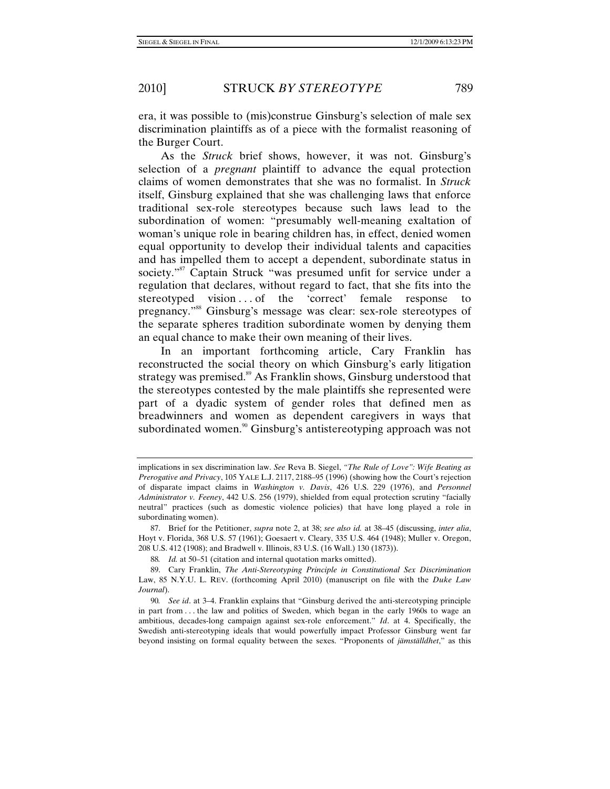era, it was possible to (mis)construe Ginsburg's selection of male sex discrimination plaintiffs as of a piece with the formalist reasoning of the Burger Court.

As the *Struck* brief shows, however, it was not. Ginsburg's selection of a *pregnant* plaintiff to advance the equal protection claims of women demonstrates that she was no formalist. In *Struck* itself, Ginsburg explained that she was challenging laws that enforce traditional sex-role stereotypes because such laws lead to the subordination of women: "presumably well-meaning exaltation of woman's unique role in bearing children has, in effect, denied women equal opportunity to develop their individual talents and capacities and has impelled them to accept a dependent, subordinate status in society."<sup>87</sup> Captain Struck "was presumed unfit for service under a regulation that declares, without regard to fact, that she fits into the stereotyped vision ... of the 'correct' female response to pregnancy."88 Ginsburg's message was clear: sex-role stereotypes of the separate spheres tradition subordinate women by denying them an equal chance to make their own meaning of their lives.

In an important forthcoming article, Cary Franklin has reconstructed the social theory on which Ginsburg's early litigation strategy was premised.<sup>89</sup> As Franklin shows, Ginsburg understood that the stereotypes contested by the male plaintiffs she represented were part of a dyadic system of gender roles that defined men as breadwinners and women as dependent caregivers in ways that subordinated women.<sup>90</sup> Ginsburg's antistereotyping approach was not

implications in sex discrimination law. *See* Reva B. Siegel, *"The Rule of Love": Wife Beating as Prerogative and Privacy*, 105 YALE L.J. 2117, 2188–95 (1996) (showing how the Court's rejection of disparate impact claims in *Washington v. Davis*, 426 U.S. 229 (1976), and *Personnel Administrator v. Feeney*, 442 U.S. 256 (1979), shielded from equal protection scrutiny "facially neutral" practices (such as domestic violence policies) that have long played a role in subordinating women).

 <sup>87.</sup> Brief for the Petitioner, *supra* note 2, at 38; *see also id.* at 38–45 (discussing, *inter alia*, Hoyt v. Florida, 368 U.S. 57 (1961); Goesaert v. Cleary, 335 U.S. 464 (1948); Muller v. Oregon, 208 U.S. 412 (1908); and Bradwell v. Illinois, 83 U.S. (16 Wall.) 130 (1873)).

<sup>88</sup>*. Id.* at 50–51 (citation and internal quotation marks omitted).

 <sup>89.</sup> Cary Franklin, *The Anti-Stereotyping Principle in Constitutional Sex Discrimination*  Law, 85 N.Y.U. L. REV. (forthcoming April 2010) (manuscript on file with the *Duke Law Journal*).

<sup>90</sup>*. See id*. at 3–4. Franklin explains that "Ginsburg derived the anti-stereotyping principle in part from . . . the law and politics of Sweden, which began in the early 1960s to wage an ambitious, decades-long campaign against sex-role enforcement." *Id*. at 4. Specifically, the Swedish anti-stereotyping ideals that would powerfully impact Professor Ginsburg went far beyond insisting on formal equality between the sexes. "Proponents of *jämställdhet*," as this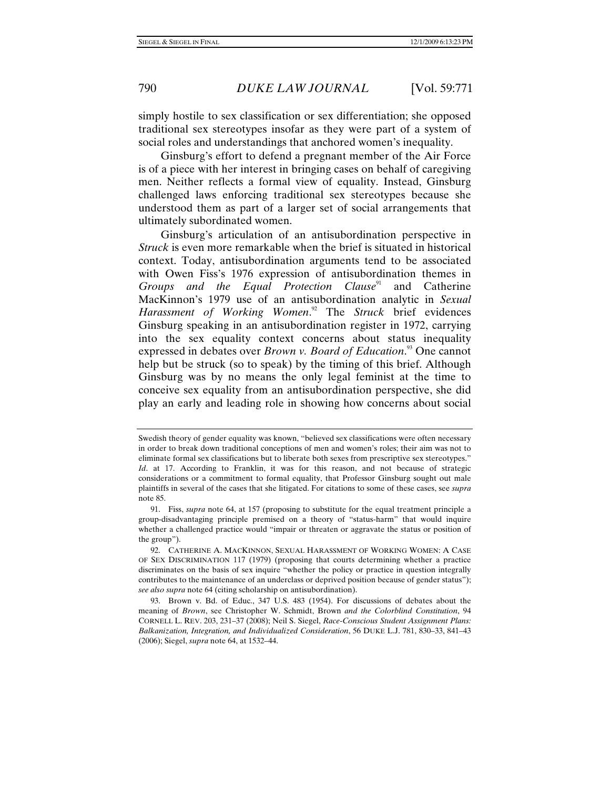simply hostile to sex classification or sex differentiation; she opposed traditional sex stereotypes insofar as they were part of a system of social roles and understandings that anchored women's inequality.

Ginsburg's effort to defend a pregnant member of the Air Force is of a piece with her interest in bringing cases on behalf of caregiving men. Neither reflects a formal view of equality. Instead, Ginsburg challenged laws enforcing traditional sex stereotypes because she understood them as part of a larger set of social arrangements that ultimately subordinated women.

Ginsburg's articulation of an antisubordination perspective in *Struck* is even more remarkable when the brief is situated in historical context. Today, antisubordination arguments tend to be associated with Owen Fiss's 1976 expression of antisubordination themes in *Groups and the Equal Protection Clause*<sup>91</sup> and Catherine MacKinnon's 1979 use of an antisubordination analytic in *Sexual Harassment of Working Women*. 92 The *Struck* brief evidences Ginsburg speaking in an antisubordination register in 1972, carrying into the sex equality context concerns about status inequality expressed in debates over *Brown v. Board of Education*.<sup>93</sup> One cannot help but be struck (so to speak) by the timing of this brief. Although Ginsburg was by no means the only legal feminist at the time to conceive sex equality from an antisubordination perspective, she did play an early and leading role in showing how concerns about social

Swedish theory of gender equality was known, "believed sex classifications were often necessary in order to break down traditional conceptions of men and women's roles; their aim was not to eliminate formal sex classifications but to liberate both sexes from prescriptive sex stereotypes." *Id.* at 17. According to Franklin, it was for this reason, and not because of strategic considerations or a commitment to formal equality, that Professor Ginsburg sought out male plaintiffs in several of the cases that she litigated. For citations to some of these cases, see *supra*  note 85.

 <sup>91.</sup> Fiss, *supra* note 64, at 157 (proposing to substitute for the equal treatment principle a group-disadvantaging principle premised on a theory of "status-harm" that would inquire whether a challenged practice would "impair or threaten or aggravate the status or position of the group").

 <sup>92.</sup> CATHERINE A. MACKINNON, SEXUAL HARASSMENT OF WORKING WOMEN: A CASE OF SEX DISCRIMINATION 117 (1979) (proposing that courts determining whether a practice discriminates on the basis of sex inquire "whether the policy or practice in question integrally contributes to the maintenance of an underclass or deprived position because of gender status"); *see also supra* note 64 (citing scholarship on antisubordination).

 <sup>93.</sup> Brown v. Bd. of Educ., 347 U.S. 483 (1954). For discussions of debates about the meaning of *Brown*, see Christopher W. Schmidt, Brown *and the Colorblind Constitution*, 94 CORNELL L. REV. 203, 231–37 (2008); Neil S. Siegel, *Race-Conscious Student Assignment Plans: Balkanization, Integration, and Individualized Consideration*, 56 DUKE L.J. 781, 830–33, 841–43 (2006); Siegel, *supra* note 64, at 1532–44.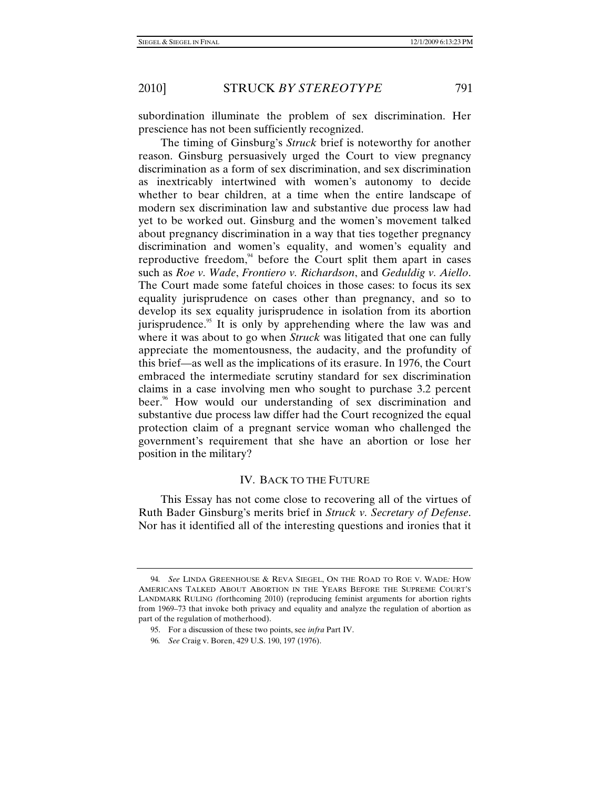subordination illuminate the problem of sex discrimination. Her prescience has not been sufficiently recognized.

The timing of Ginsburg's *Struck* brief is noteworthy for another reason. Ginsburg persuasively urged the Court to view pregnancy discrimination as a form of sex discrimination, and sex discrimination as inextricably intertwined with women's autonomy to decide whether to bear children, at a time when the entire landscape of modern sex discrimination law and substantive due process law had yet to be worked out. Ginsburg and the women's movement talked about pregnancy discrimination in a way that ties together pregnancy discrimination and women's equality, and women's equality and reproductive freedom, $4$  before the Court split them apart in cases such as *Roe v. Wade*, *Frontiero v. Richardson*, and *Geduldig v. Aiello*. The Court made some fateful choices in those cases: to focus its sex equality jurisprudence on cases other than pregnancy, and so to develop its sex equality jurisprudence in isolation from its abortion jurisprudence.<sup>95</sup> It is only by apprehending where the law was and where it was about to go when *Struck* was litigated that one can fully appreciate the momentousness, the audacity, and the profundity of this brief—as well as the implications of its erasure. In 1976, the Court embraced the intermediate scrutiny standard for sex discrimination claims in a case involving men who sought to purchase 3.2 percent beer.<sup>96</sup> How would our understanding of sex discrimination and substantive due process law differ had the Court recognized the equal protection claim of a pregnant service woman who challenged the government's requirement that she have an abortion or lose her position in the military?

## IV. BACK TO THE FUTURE

This Essay has not come close to recovering all of the virtues of Ruth Bader Ginsburg's merits brief in *Struck v. Secretary of Defense*. Nor has it identified all of the interesting questions and ironies that it

<sup>94</sup>*. See* LINDA GREENHOUSE & REVA SIEGEL, ON THE ROAD TO ROE V. WADE*:* HOW AMERICANS TALKED ABOUT ABORTION IN THE YEARS BEFORE THE SUPREME COURT'S LANDMARK RULING *(*forthcoming 2010) (reproducing feminist arguments for abortion rights from 1969–73 that invoke both privacy and equality and analyze the regulation of abortion as part of the regulation of motherhood).

 <sup>95.</sup> For a discussion of these two points, see *infra* Part IV.

<sup>96</sup>*. See* Craig v. Boren, 429 U.S. 190, 197 (1976).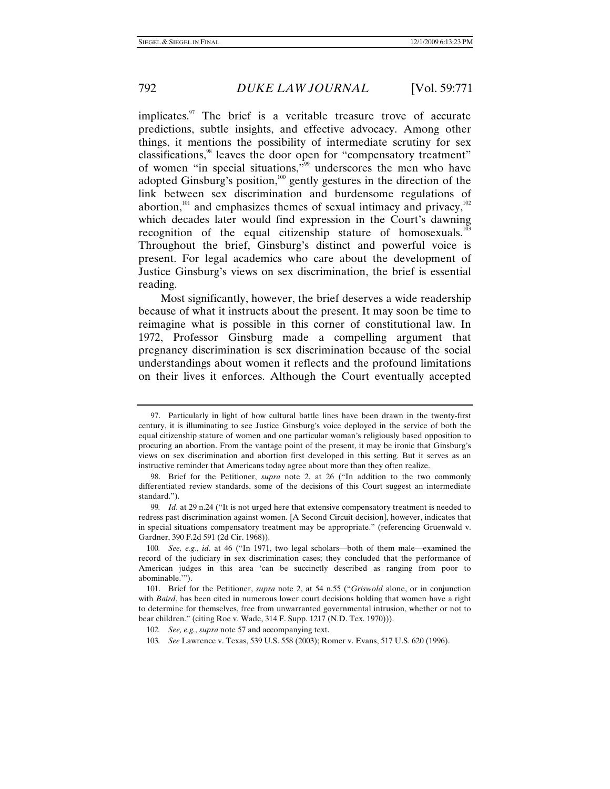implicates. $\frac{97}{1}$  The brief is a veritable treasure trove of accurate predictions, subtle insights, and effective advocacy. Among other things, it mentions the possibility of intermediate scrutiny for sex classifications,<sup>98</sup> leaves the door open for "compensatory treatment" of women "in special situations,"99 underscores the men who have adopted Ginsburg's position, $100$  gently gestures in the direction of the link between sex discrimination and burdensome regulations of abortion,<sup>101</sup> and emphasizes themes of sexual intimacy and privacy, $102$ which decades later would find expression in the Court's dawning recognition of the equal citizenship stature of homosexuals. $103$ Throughout the brief, Ginsburg's distinct and powerful voice is present. For legal academics who care about the development of Justice Ginsburg's views on sex discrimination, the brief is essential reading.

Most significantly, however, the brief deserves a wide readership because of what it instructs about the present. It may soon be time to reimagine what is possible in this corner of constitutional law. In 1972, Professor Ginsburg made a compelling argument that pregnancy discrimination is sex discrimination because of the social understandings about women it reflects and the profound limitations on their lives it enforces. Although the Court eventually accepted

 <sup>97.</sup> Particularly in light of how cultural battle lines have been drawn in the twenty-first century, it is illuminating to see Justice Ginsburg's voice deployed in the service of both the equal citizenship stature of women and one particular woman's religiously based opposition to procuring an abortion. From the vantage point of the present, it may be ironic that Ginsburg's views on sex discrimination and abortion first developed in this setting. But it serves as an instructive reminder that Americans today agree about more than they often realize.

 <sup>98.</sup> Brief for the Petitioner, *supra* note 2, at 26 ("In addition to the two commonly differentiated review standards, some of the decisions of this Court suggest an intermediate standard.").

<sup>99</sup>*. Id*. at 29 n.24 ("It is not urged here that extensive compensatory treatment is needed to redress past discrimination against women. [A Second Circuit decision], however, indicates that in special situations compensatory treatment may be appropriate." (referencing Gruenwald v. Gardner, 390 F.2d 591 (2d Cir. 1968)).

<sup>100</sup>*. See, e.g*., *id*. at 46 ("In 1971, two legal scholars—both of them male—examined the record of the judiciary in sex discrimination cases; they concluded that the performance of American judges in this area 'can be succinctly described as ranging from poor to abominable.'").

 <sup>101.</sup> Brief for the Petitioner, *supra* note 2, at 54 n.55 ("*Griswold* alone, or in conjunction with *Baird*, has been cited in numerous lower court decisions holding that women have a right to determine for themselves, free from unwarranted governmental intrusion, whether or not to bear children." (citing Roe v. Wade, 314 F. Supp. 1217 (N.D. Tex. 1970))).

<sup>102</sup>*. See, e.g.*, *supra* note 57 and accompanying text.

<sup>103</sup>*. See* Lawrence v. Texas, 539 U.S. 558 (2003); Romer v. Evans, 517 U.S. 620 (1996).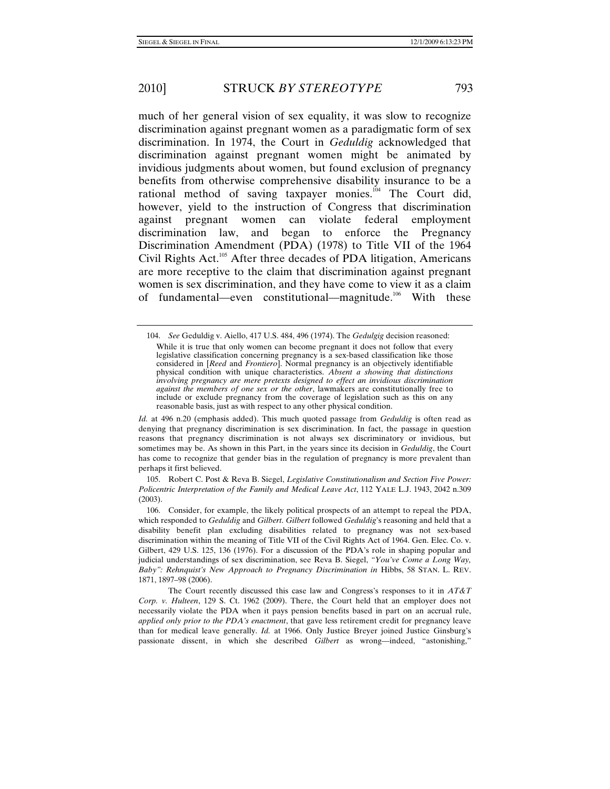much of her general vision of sex equality, it was slow to recognize discrimination against pregnant women as a paradigmatic form of sex discrimination. In 1974, the Court in *Geduldig* acknowledged that discrimination against pregnant women might be animated by invidious judgments about women, but found exclusion of pregnancy benefits from otherwise comprehensive disability insurance to be a rational method of saving taxpayer monies.<sup>104</sup> The Court did, however, yield to the instruction of Congress that discrimination against pregnant women can violate federal employment discrimination law, and began to enforce the Pregnancy Discrimination Amendment (PDA) (1978) to Title VII of the 1964 Civil Rights Act.<sup>105</sup> After three decades of PDA litigation, Americans are more receptive to the claim that discrimination against pregnant women is sex discrimination, and they have come to view it as a claim of fundamental—even constitutional—magnitude.106 With these

*Id.* at 496 n.20 (emphasis added). This much quoted passage from *Geduldig* is often read as denying that pregnancy discrimination is sex discrimination. In fact, the passage in question reasons that pregnancy discrimination is not always sex discriminatory or invidious, but sometimes may be. As shown in this Part, in the years since its decision in *Geduldig*, the Court has come to recognize that gender bias in the regulation of pregnancy is more prevalent than perhaps it first believed.

 105. Robert C. Post & Reva B. Siegel, *Legislative Constitutionalism and Section Five Power: Policentric Interpretation of the Family and Medical Leave Act*, 112 YALE L.J. 1943, 2042 n.309 (2003).

 106. Consider, for example, the likely political prospects of an attempt to repeal the PDA, which responded to *Geduldig* and *Gilbert*. *Gilbert* followed *Geduldig*'s reasoning and held that a disability benefit plan excluding disabilities related to pregnancy was not sex-based discrimination within the meaning of Title VII of the Civil Rights Act of 1964. Gen. Elec. Co. v. Gilbert, 429 U.S. 125, 136 (1976). For a discussion of the PDA's role in shaping popular and judicial understandings of sex discrimination, see Reva B. Siegel, *"You've Come a Long Way, Baby": Rehnquist's New Approach to Pregnancy Discrimination in* Hibbs, 58 STAN. L. REV. 1871, 1897–98 (2006).

 The Court recently discussed this case law and Congress's responses to it in *AT&T Corp. v. Hulteen*, 129 S. Ct. 1962 (2009). There, the Court held that an employer does not necessarily violate the PDA when it pays pension benefits based in part on an accrual rule, *applied only prior to the PDA's enactment*, that gave less retirement credit for pregnancy leave than for medical leave generally. *Id.* at 1966. Only Justice Breyer joined Justice Ginsburg's passionate dissent, in which she described *Gilbert* as wrong—indeed, "astonishing,"

 <sup>104.</sup> *See* Geduldig v. Aiello, 417 U.S. 484, 496 (1974). The *Gedulgig* decision reasoned:

While it is true that only women can become pregnant it does not follow that every legislative classification concerning pregnancy is a sex-based classification like those considered in [*Reed* and *Frontiero*]. Normal pregnancy is an objectively identifiable physical condition with unique characteristics. *Absent a showing that distinctions involving pregnancy are mere pretexts designed to effect an invidious discrimination against the members of one sex or the other*, lawmakers are constitutionally free to include or exclude pregnancy from the coverage of legislation such as this on any reasonable basis, just as with respect to any other physical condition.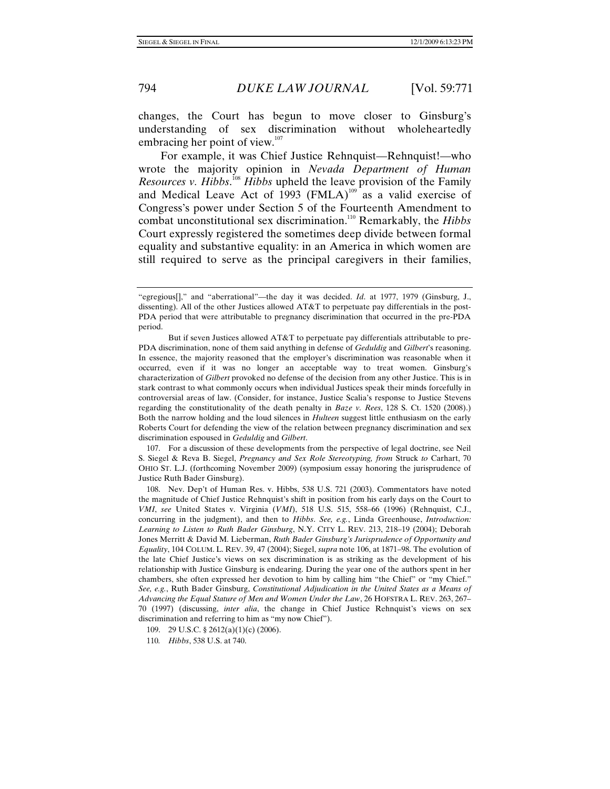changes, the Court has begun to move closer to Ginsburg's understanding of sex discrimination without wholeheartedly embracing her point of view.<sup>107</sup>

For example, it was Chief Justice Rehnquist—Rehnquist!—who wrote the majority opinion in *Nevada Department of Human Resources v. Hibbs*. <sup>108</sup> *Hibbs* upheld the leave provision of the Family and Medical Leave Act of 1993  $(FMLA)^{109}$  as a valid exercise of Congress's power under Section 5 of the Fourteenth Amendment to combat unconstitutional sex discrimination.110 Remarkably, the *Hibbs* Court expressly registered the sometimes deep divide between formal equality and substantive equality: in an America in which women are still required to serve as the principal caregivers in their families,

 107. For a discussion of these developments from the perspective of legal doctrine, see Neil S. Siegel & Reva B. Siegel, *Pregnancy and Sex Role Stereotyping, from* Struck *to* Carhart, 70 OHIO ST. L.J. (forthcoming November 2009) (symposium essay honoring the jurisprudence of Justice Ruth Bader Ginsburg).

 108. Nev. Dep't of Human Res. v. Hibbs, 538 U.S. 721 (2003). Commentators have noted the magnitude of Chief Justice Rehnquist's shift in position from his early days on the Court to *VMI*, *see* United States v. Virginia (*VMI*), 518 U.S. 515, 558–66 (1996) (Rehnquist, C.J., concurring in the judgment), and then to *Hibbs*. *See, e.g.*, Linda Greenhouse, *Introduction: Learning to Listen to Ruth Bader Ginsburg*, N.Y. CITY L. REV. 213, 218–19 (2004); Deborah Jones Merritt & David M. Lieberman, *Ruth Bader Ginsburg's Jurisprudence of Opportunity and Equality*, 104 COLUM. L. REV. 39, 47 (2004); Siegel, *supra* note 106, at 1871–98. The evolution of the late Chief Justice's views on sex discrimination is as striking as the development of his relationship with Justice Ginsburg is endearing. During the year one of the authors spent in her chambers, she often expressed her devotion to him by calling him "the Chief" or "my Chief." *See, e.g.*, Ruth Bader Ginsburg, *Constitutional Adjudication in the United States as a Means of Advancing the Equal Stature of Men and Women Under the Law*, 26 HOFSTRA L. REV. 263, 267– 70 (1997) (discussing, *inter alia*, the change in Chief Justice Rehnquist's views on sex discrimination and referring to him as "my now Chief").

<sup>&</sup>quot;egregious[]," and "aberrational"—the day it was decided. *Id*. at 1977, 1979 (Ginsburg, J., dissenting). All of the other Justices allowed AT&T to perpetuate pay differentials in the post-PDA period that were attributable to pregnancy discrimination that occurred in the pre-PDA period.

But if seven Justices allowed AT&T to perpetuate pay differentials attributable to pre-PDA discrimination, none of them said anything in defense of *Geduldig* and *Gilbert*'s reasoning. In essence, the majority reasoned that the employer's discrimination was reasonable when it occurred, even if it was no longer an acceptable way to treat women. Ginsburg's characterization of *Gilbert* provoked no defense of the decision from any other Justice. This is in stark contrast to what commonly occurs when individual Justices speak their minds forcefully in controversial areas of law. (Consider, for instance, Justice Scalia's response to Justice Stevens regarding the constitutionality of the death penalty in *Baze v. Rees*, 128 S. Ct. 1520 (2008).) Both the narrow holding and the loud silences in *Hulteen* suggest little enthusiasm on the early Roberts Court for defending the view of the relation between pregnancy discrimination and sex discrimination espoused in *Geduldig* and *Gilbert*.

 <sup>109. 29</sup> U.S.C. § 2612(a)(1)(c) (2006).

<sup>110</sup>*. Hibbs*, 538 U.S. at 740.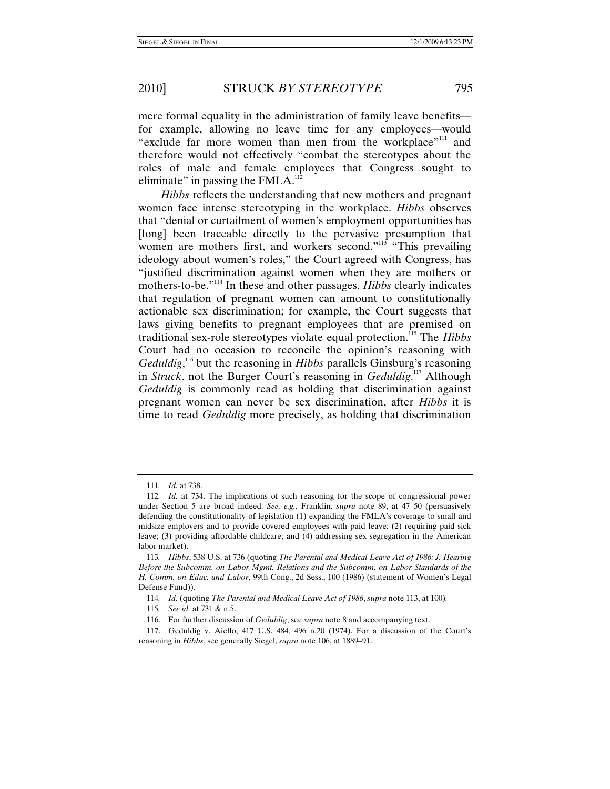mere formal equality in the administration of family leave benefits for example, allowing no leave time for any employees—would "exclude far more women than men from the workplace"<sup>111</sup> and therefore would not effectively "combat the stereotypes about the roles of male and female employees that Congress sought to eliminate" in passing the FMLA.<sup>112</sup>

*Hibbs* reflects the understanding that new mothers and pregnant women face intense stereotyping in the workplace. *Hibbs* observes that "denial or curtailment of women's employment opportunities has [long] been traceable directly to the pervasive presumption that women are mothers first, and workers second."<sup>113</sup> "This prevailing ideology about women's roles," the Court agreed with Congress, has "justified discrimination against women when they are mothers or mothers-to-be."<sup>114</sup> In these and other passages, *Hibbs* clearly indicates that regulation of pregnant women can amount to constitutionally actionable sex discrimination; for example, the Court suggests that laws giving benefits to pregnant employees that are premised on traditional sex-role stereotypes violate equal protection.<sup>115</sup> The *Hibbs* Court had no occasion to reconcile the opinion's reasoning with Geduldig,<sup>116</sup> but the reasoning in *Hibbs* parallels Ginsburg's reasoning in *Struck*, not the Burger Court's reasoning in *Geduldig*.<sup>117</sup> Although *Geduldig* is commonly read as holding that discrimination against pregnant women can never be sex discrimination, after *Hibbs* it is time to read *Geduldig* more precisely, as holding that discrimination

<sup>111</sup>*. Id.* at 738.

<sup>112</sup>*. Id.* at 734. The implications of such reasoning for the scope of congressional power under Section 5 are broad indeed. *See, e.g.*, Franklin, *supra* note 89, at 47–50 (persuasively defending the constitutionality of legislation (1) expanding the FMLA's coverage to small and midsize employers and to provide covered employees with paid leave; (2) requiring paid sick leave; (3) providing affordable childcare; and (4) addressing sex segregation in the American labor market).

<sup>113</sup>*. Hibbs*, 538 U.S. at 736 (quoting *The Parental and Medical Leave Act of 1986: J. Hearing Before the Subcomm. on Labor-Mgmt. Relations and the Subcomm. on Labor Standards of the H. Comm. on Educ. and Labor*, 99th Cong., 2d Sess., 100 (1986) (statement of Women's Legal Defense Fund)).

<sup>114</sup>*. Id.* (quoting *The Parental and Medical Leave Act of 1986*, *supra* note 113, at 100)*.*

<sup>115</sup>*. See id.* at 731 & n.5.

 <sup>116.</sup> For further discussion of *Geduldig*, see *supra* note 8 and accompanying text.

 <sup>117.</sup> Geduldig v. Aiello, 417 U.S. 484, 496 n.20 (1974). For a discussion of the Court's reasoning in *Hibbs*, see generally Siegel, *supra* note 106, at 1889–91.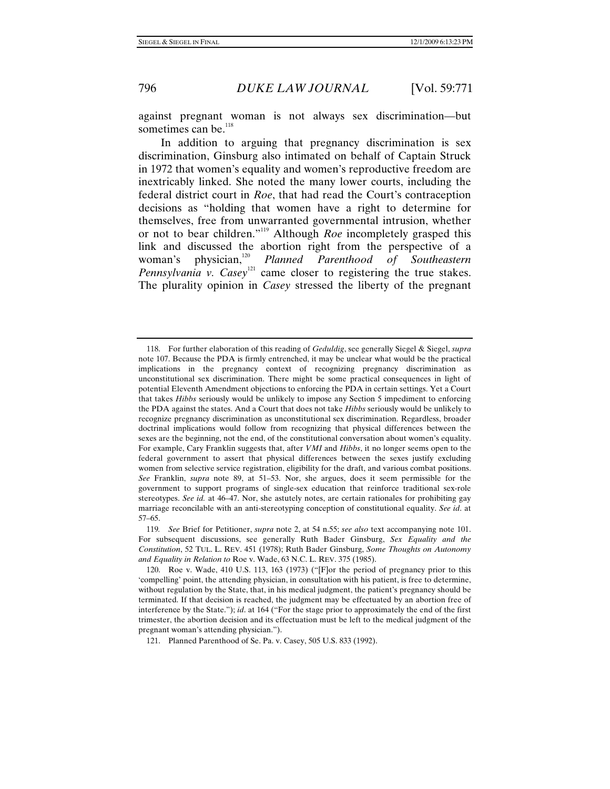against pregnant woman is not always sex discrimination—but sometimes can be.<sup>118</sup>

In addition to arguing that pregnancy discrimination is sex discrimination, Ginsburg also intimated on behalf of Captain Struck in 1972 that women's equality and women's reproductive freedom are inextricably linked. She noted the many lower courts, including the federal district court in *Roe*, that had read the Court's contraception decisions as "holding that women have a right to determine for themselves, free from unwarranted governmental intrusion, whether or not to bear children."119 Although *Roe* incompletely grasped this link and discussed the abortion right from the perspective of a woman's physician,<sup>120</sup> Planned Parenthood of Southeastern woman's physician,<sup>120</sup> *Planned Parenthood of Southeastern Pennsylvania v. Casey*<sup>121</sup> came closer to registering the true stakes. The plurality opinion in *Casey* stressed the liberty of the pregnant

 <sup>118.</sup> For further elaboration of this reading of *Geduldig*, see generally Siegel & Siegel, *supra* note 107. Because the PDA is firmly entrenched, it may be unclear what would be the practical implications in the pregnancy context of recognizing pregnancy discrimination as unconstitutional sex discrimination. There might be some practical consequences in light of potential Eleventh Amendment objections to enforcing the PDA in certain settings. Yet a Court that takes *Hibbs* seriously would be unlikely to impose any Section 5 impediment to enforcing the PDA against the states. And a Court that does not take *Hibbs* seriously would be unlikely to recognize pregnancy discrimination as unconstitutional sex discrimination. Regardless, broader doctrinal implications would follow from recognizing that physical differences between the sexes are the beginning, not the end, of the constitutional conversation about women's equality. For example, Cary Franklin suggests that, after *VMI* and *Hibbs*, it no longer seems open to the federal government to assert that physical differences between the sexes justify excluding women from selective service registration, eligibility for the draft, and various combat positions. *See* Franklin, *supra* note 89, at 51–53. Nor, she argues, does it seem permissible for the government to support programs of single-sex education that reinforce traditional sex-role stereotypes. *See id.* at 46–47. Nor, she astutely notes, are certain rationales for prohibiting gay marriage reconcilable with an anti-stereotyping conception of constitutional equality. *See id*. at 57–65.

<sup>119</sup>*. See* Brief for Petitioner, *supra* note 2, at 54 n.55; *see also* text accompanying note 101. For subsequent discussions, see generally Ruth Bader Ginsburg, *Sex Equality and the Constitution*, 52 TUL. L. REV. 451 (1978); Ruth Bader Ginsburg, *Some Thoughts on Autonomy and Equality in Relation to* Roe v. Wade, 63 N.C. L. REV. 375 (1985).

 <sup>120.</sup> Roe v. Wade, 410 U.S. 113, 163 (1973) ("[F]or the period of pregnancy prior to this 'compelling' point, the attending physician, in consultation with his patient, is free to determine, without regulation by the State, that, in his medical judgment, the patient's pregnancy should be terminated. If that decision is reached, the judgment may be effectuated by an abortion free of interference by the State."); *id*. at 164 ("For the stage prior to approximately the end of the first trimester, the abortion decision and its effectuation must be left to the medical judgment of the pregnant woman's attending physician.").

 <sup>121.</sup> Planned Parenthood of Se. Pa. v. Casey, 505 U.S. 833 (1992).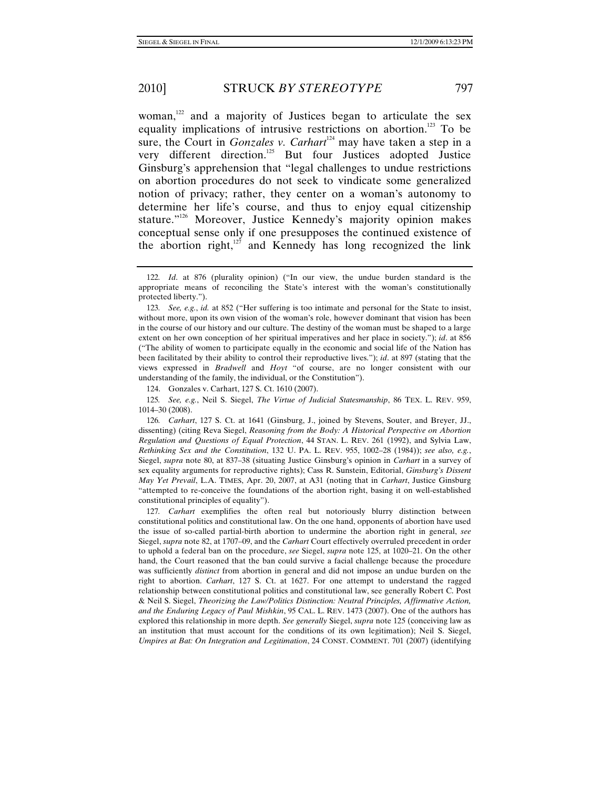woman, $122$  and a majority of Justices began to articulate the sex equality implications of intrusive restrictions on abortion.<sup>123</sup> To be sure, the Court in *Gonzales v. Carhart*<sup>124</sup> may have taken a step in a very different direction.<sup>125</sup> But four Justices adopted Justice Ginsburg's apprehension that "legal challenges to undue restrictions on abortion procedures do not seek to vindicate some generalized notion of privacy; rather, they center on a woman's autonomy to determine her life's course, and thus to enjoy equal citizenship stature."<sup>126</sup> Moreover, Justice Kennedy's majority opinion makes conceptual sense only if one presupposes the continued existence of the abortion right, $127$  and Kennedy has long recognized the link

124. Gonzales v. Carhart, 127 S. Ct. 1610 (2007).

125*. See, e.g.*, Neil S. Siegel, *The Virtue of Judicial Statesmanship*, 86 TEX. L. REV. 959, 1014–30 (2008).

126*. Carhart*, 127 S. Ct. at 1641 (Ginsburg, J., joined by Stevens, Souter, and Breyer, JJ., dissenting) (citing Reva Siegel, *Reasoning from the Body: A Historical Perspective on Abortion Regulation and Questions of Equal Protection*, 44 STAN. L. REV. 261 (1992), and Sylvia Law, *Rethinking Sex and the Constitution*, 132 U. PA. L. REV. 955, 1002–28 (1984)); *see also, e.g.*, Siegel, *supra* note 80, at 837–38 (situating Justice Ginsburg's opinion in *Carhart* in a survey of sex equality arguments for reproductive rights); Cass R. Sunstein, Editorial, *Ginsburg's Dissent May Yet Prevail*, L.A. TIMES, Apr. 20, 2007, at A31 (noting that in *Carhart*, Justice Ginsburg "attempted to re-conceive the foundations of the abortion right, basing it on well-established constitutional principles of equality").

127*. Carhart* exemplifies the often real but notoriously blurry distinction between constitutional politics and constitutional law. On the one hand, opponents of abortion have used the issue of so-called partial-birth abortion to undermine the abortion right in general, *see* Siegel, *supra* note 82, at 1707–09, and the *Carhart* Court effectively overruled precedent in order to uphold a federal ban on the procedure, *see* Siegel, *supra* note 125, at 1020–21. On the other hand, the Court reasoned that the ban could survive a facial challenge because the procedure was sufficiently *distinct* from abortion in general and did not impose an undue burden on the right to abortion. *Carhart*, 127 S. Ct. at 1627. For one attempt to understand the ragged relationship between constitutional politics and constitutional law, see generally Robert C. Post & Neil S. Siegel, *Theorizing the Law/Politics Distinction: Neutral Principles, Affirmative Action, and the Enduring Legacy of Paul Mishkin*, 95 CAL. L. REV. 1473 (2007). One of the authors has explored this relationship in more depth. *See generally* Siegel, *supra* note 125 (conceiving law as an institution that must account for the conditions of its own legitimation); Neil S. Siegel, *Umpires at Bat: On Integration and Legitimation*, 24 CONST. COMMENT. 701 (2007) (identifying

<sup>122</sup>*. Id*. at 876 (plurality opinion) ("In our view, the undue burden standard is the appropriate means of reconciling the State's interest with the woman's constitutionally protected liberty.").

<sup>123</sup>*. See, e.g.*, *id.* at 852 ("Her suffering is too intimate and personal for the State to insist, without more, upon its own vision of the woman's role, however dominant that vision has been in the course of our history and our culture. The destiny of the woman must be shaped to a large extent on her own conception of her spiritual imperatives and her place in society."); *id*. at 856 ("The ability of women to participate equally in the economic and social life of the Nation has been facilitated by their ability to control their reproductive lives."); *id*. at 897 (stating that the views expressed in *Bradwell* and *Hoyt* "of course, are no longer consistent with our understanding of the family, the individual, or the Constitution").